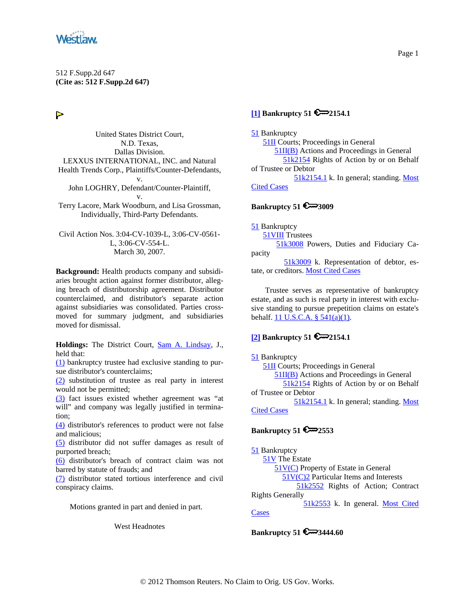<span id="page-0-0"></span>

# $\triangleright$

United States District Court, N.D. Texas, Dallas Division. LEXXUS INTERNATIONAL, INC. and Natural Health Trends Corp., Plaintiffs/Counter-Defendants, v. John LOGHRY, Defendant/Counter-Plaintiff, v. Terry Lacore, Mark Woodburn, and Lisa Grossman, Individually, Third-Party Defendants.

Civil Action Nos. 3:04-CV-1039-L, 3:06-CV-0561- L, 3:06-CV-554-L. March 30, 2007.

**Background:** Health products company and subsidiaries brought action against former distributor, alleging breach of distributorship agreement. Distributor counterclaimed, and distributor's separate action against subsidiaries was consolidated. Parties crossmoved for summary judgment, and subsidiaries moved for dismissal.

**Holdings:** The District Court, [Sam A. Lindsay,](http://www.westlaw.com/Find/Default.wl?rs=dfa1.0&vr=2.0&DB=PROFILER-WLD&DocName=0188576301&FindType=h) J., held that:

[\(1\)](#page-10-0) bankruptcy trustee had exclusive standing to pursue distributor's counterclaims;

[\(2\)](#page-12-0) substitution of trustee as real party in interest would not be permitted;

[\(3\)](#page-14-0) fact issues existed whether agreement was "at will" and company was legally justified in termination;

[\(4\)](#page-15-0) distributor's references to product were not false and malicious;

[\(5\)](#page-15-0) distributor did not suffer damages as result of purported breach;

[\(6\)](#page-17-0) distributor's breach of contract claim was not barred by statute of frauds; and

[\(7\)](#page-19-0) distributor stated tortious interference and civil conspiracy claims.

Motions granted in part and denied in part.

West Headnotes

# **[\[1\]](#page-10-0) Bankruptcy 51 2154.1**

[51](http://www.westlaw.com/KeyNumber/Default.wl?rs=dfa1.0&vr=2.0&CMD=KEY&DocName=51) Bankruptcy [51II](http://www.westlaw.com/KeyNumber/Default.wl?rs=dfa1.0&vr=2.0&CMD=KEY&DocName=51II) Courts; Proceedings in General [51II\(B\)](http://www.westlaw.com/KeyNumber/Default.wl?rs=dfa1.0&vr=2.0&CMD=KEY&DocName=51II%28B%29) Actions and Proceedings in General [51k2154](http://www.westlaw.com/KeyNumber/Default.wl?rs=dfa1.0&vr=2.0&CMD=KEY&DocName=51k2154) Rights of Action by or on Behalf of Trustee or Debtor [51k2154.1](http://www.westlaw.com/KeyNumber/Default.wl?rs=dfa1.0&vr=2.0&CMD=KEY&DocName=51k2154.1) k. In general; standing. [Most](http://www.westlaw.com/Digest/Default.wl?rs=dfa1.0&vr=2.0&CMD=MCC&DocName=51k2154.1)  [Cited Cases](http://www.westlaw.com/Digest/Default.wl?rs=dfa1.0&vr=2.0&CMD=MCC&DocName=51k2154.1)

# **Bankruptcy 51 €**<sup>3009</sup>

[51](http://www.westlaw.com/KeyNumber/Default.wl?rs=dfa1.0&vr=2.0&CMD=KEY&DocName=51) Bankruptcy

[51VIII](http://www.westlaw.com/KeyNumber/Default.wl?rs=dfa1.0&vr=2.0&CMD=KEY&DocName=51VIII) Trustees

 [51k3008](http://www.westlaw.com/KeyNumber/Default.wl?rs=dfa1.0&vr=2.0&CMD=KEY&DocName=51k3008) Powers, Duties and Fiduciary Capacity

 [51k3009](http://www.westlaw.com/KeyNumber/Default.wl?rs=dfa1.0&vr=2.0&CMD=KEY&DocName=51k3009) k. Representation of debtor, estate, or creditors. [Most Cited Cases](http://www.westlaw.com/Digest/Default.wl?rs=dfa1.0&vr=2.0&CMD=MCC&DocName=51k3009)

Trustee serves as representative of bankruptcy estate, and as such is real party in interest with exclusive standing to pursue prepetition claims on estate's behalf. [11 U.S.C.A. § 541\(a\)\(1\).](http://www.westlaw.com/Find/Default.wl?rs=dfa1.0&vr=2.0&DB=1000546&DocName=11USCAS541&FindType=L&ReferencePositionType=T&ReferencePosition=SP_7b9b000044381)

# **[\[2\]](#page-10-0) Bankruptcy 51 2154.1**

#### [51](http://www.westlaw.com/KeyNumber/Default.wl?rs=dfa1.0&vr=2.0&CMD=KEY&DocName=51) Bankruptcy

[51II](http://www.westlaw.com/KeyNumber/Default.wl?rs=dfa1.0&vr=2.0&CMD=KEY&DocName=51II) Courts; Proceedings in General

[51II\(B\)](http://www.westlaw.com/KeyNumber/Default.wl?rs=dfa1.0&vr=2.0&CMD=KEY&DocName=51II%28B%29) Actions and Proceedings in General

 [51k2154](http://www.westlaw.com/KeyNumber/Default.wl?rs=dfa1.0&vr=2.0&CMD=KEY&DocName=51k2154) Rights of Action by or on Behalf of Trustee or Debtor

 [51k2154.1](http://www.westlaw.com/KeyNumber/Default.wl?rs=dfa1.0&vr=2.0&CMD=KEY&DocName=51k2154.1) k. In general; standing. [Most](http://www.westlaw.com/Digest/Default.wl?rs=dfa1.0&vr=2.0&CMD=MCC&DocName=51k2154.1)  [Cited Cases](http://www.westlaw.com/Digest/Default.wl?rs=dfa1.0&vr=2.0&CMD=MCC&DocName=51k2154.1)

# **Bankruptcy 51 €**<sup>2553</sup>

[51](http://www.westlaw.com/KeyNumber/Default.wl?rs=dfa1.0&vr=2.0&CMD=KEY&DocName=51) Bankruptcy [51V](http://www.westlaw.com/KeyNumber/Default.wl?rs=dfa1.0&vr=2.0&CMD=KEY&DocName=51V) The Estate [51V\(C\)](http://www.westlaw.com/KeyNumber/Default.wl?rs=dfa1.0&vr=2.0&CMD=KEY&DocName=51V%28C%29) Property of Estate in General [51V\(C\)2](http://www.westlaw.com/KeyNumber/Default.wl?rs=dfa1.0&vr=2.0&CMD=KEY&DocName=51V%28C%292) Particular Items and Interests [51k2552](http://www.westlaw.com/KeyNumber/Default.wl?rs=dfa1.0&vr=2.0&CMD=KEY&DocName=51k2552) Rights of Action; Contract Rights Generally [51k2553](http://www.westlaw.com/KeyNumber/Default.wl?rs=dfa1.0&vr=2.0&CMD=KEY&DocName=51k2553) k. In general. [Most Cited](http://www.westlaw.com/Digest/Default.wl?rs=dfa1.0&vr=2.0&CMD=MCC&DocName=51k2553)  **[Cases](http://www.westlaw.com/Digest/Default.wl?rs=dfa1.0&vr=2.0&CMD=MCC&DocName=51k2553)** 

**Bankruptcy 51 € 3444.60**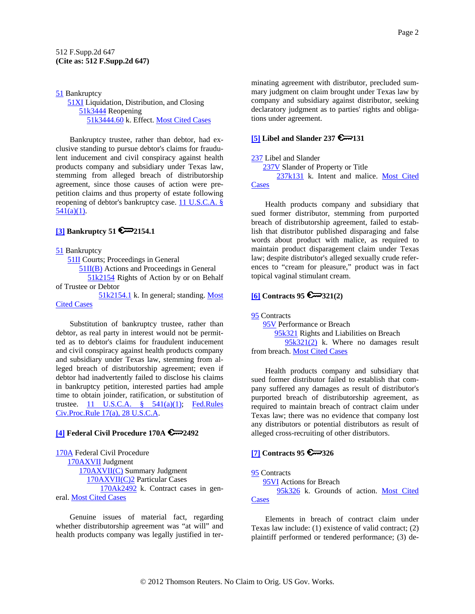### <span id="page-1-0"></span>[51](http://www.westlaw.com/KeyNumber/Default.wl?rs=dfa1.0&vr=2.0&CMD=KEY&DocName=51) Bankruptcy **51XI** Liquidation, Distribution, and Closing [51k3444](http://www.westlaw.com/KeyNumber/Default.wl?rs=dfa1.0&vr=2.0&CMD=KEY&DocName=51k3444) Reopening [51k3444.60](http://www.westlaw.com/KeyNumber/Default.wl?rs=dfa1.0&vr=2.0&CMD=KEY&DocName=51k3444.60) k. Effect. [Most Cited Cases](http://www.westlaw.com/Digest/Default.wl?rs=dfa1.0&vr=2.0&CMD=MCC&DocName=51k3444.60)

Bankruptcy trustee, rather than debtor, had exclusive standing to pursue debtor's claims for fraudulent inducement and civil conspiracy against health products company and subsidiary under Texas law, stemming from alleged breach of distributorship agreement, since those causes of action were prepetition claims and thus property of estate following reopening of debtor's bankruptcy case. [11 U.S.C.A. §](http://www.westlaw.com/Find/Default.wl?rs=dfa1.0&vr=2.0&DB=1000546&DocName=11USCAS541&FindType=L&ReferencePositionType=T&ReferencePosition=SP_7b9b000044381)   $541(a)(1)$ .

# **[\[3\]](#page-12-0) Bankruptcy 51 2154.1**

[51](http://www.westlaw.com/KeyNumber/Default.wl?rs=dfa1.0&vr=2.0&CMD=KEY&DocName=51) Bankruptcy [51II](http://www.westlaw.com/KeyNumber/Default.wl?rs=dfa1.0&vr=2.0&CMD=KEY&DocName=51II) Courts; Proceedings in General [51II\(B\)](http://www.westlaw.com/KeyNumber/Default.wl?rs=dfa1.0&vr=2.0&CMD=KEY&DocName=51II%28B%29) Actions and Proceedings in General [51k2154](http://www.westlaw.com/KeyNumber/Default.wl?rs=dfa1.0&vr=2.0&CMD=KEY&DocName=51k2154) Rights of Action by or on Behalf of Trustee or Debtor

 [51k2154.1](http://www.westlaw.com/KeyNumber/Default.wl?rs=dfa1.0&vr=2.0&CMD=KEY&DocName=51k2154.1) k. In general; standing. [Most](http://www.westlaw.com/Digest/Default.wl?rs=dfa1.0&vr=2.0&CMD=MCC&DocName=51k2154.1)  [Cited Cases](http://www.westlaw.com/Digest/Default.wl?rs=dfa1.0&vr=2.0&CMD=MCC&DocName=51k2154.1)

Substitution of bankruptcy trustee, rather than debtor, as real party in interest would not be permitted as to debtor's claims for fraudulent inducement and civil conspiracy against health products company and subsidiary under Texas law, stemming from alleged breach of distributorship agreement; even if debtor had inadvertently failed to disclose his claims in bankruptcy petition, interested parties had ample time to obtain joinder, ratification, or substitution of trustee.  $11$  U.S.C.A.  $\frac{8}{541(a)(1)}$ ; Fed.Rules [Civ.Proc.Rule 17\(a\), 28 U.S.C.A.](http://www.westlaw.com/Find/Default.wl?rs=dfa1.0&vr=2.0&DB=1004365&DocName=USFRCPR17&FindType=L)

# **[\[4\]](#page-14-0) Federal Civil Procedure 170A 2492**

[170A](http://www.westlaw.com/KeyNumber/Default.wl?rs=dfa1.0&vr=2.0&CMD=KEY&DocName=170A) Federal Civil Procedure [170AXVII](http://www.westlaw.com/KeyNumber/Default.wl?rs=dfa1.0&vr=2.0&CMD=KEY&DocName=170AXVII) Judgment [170AXVII\(C\)](http://www.westlaw.com/KeyNumber/Default.wl?rs=dfa1.0&vr=2.0&CMD=KEY&DocName=170AXVII%28C%29) Summary Judgment [170AXVII\(C\)2](http://www.westlaw.com/KeyNumber/Default.wl?rs=dfa1.0&vr=2.0&CMD=KEY&DocName=170AXVII%28C%292) Particular Cases [170Ak2492](http://www.westlaw.com/KeyNumber/Default.wl?rs=dfa1.0&vr=2.0&CMD=KEY&DocName=170Ak2492) k. Contract cases in general. [Most Cited Cases](http://www.westlaw.com/Digest/Default.wl?rs=dfa1.0&vr=2.0&CMD=MCC&DocName=170Ak2492)

Genuine issues of material fact, regarding whether distributorship agreement was "at will" and health products company was legally justified in terminating agreement with distributor, precluded summary judgment on claim brought under Texas law by company and subsidiary against distributor, seeking declaratory judgment as to parties' rights and obligations under agreement.

# **[5]** Libel and Slander 237  $\mathbb{R}$  | 131

### [237](http://www.westlaw.com/KeyNumber/Default.wl?rs=dfa1.0&vr=2.0&CMD=KEY&DocName=237) Libel and Slander

[237V](http://www.westlaw.com/KeyNumber/Default.wl?rs=dfa1.0&vr=2.0&CMD=KEY&DocName=237V) Slander of Property or Title

 [237k131](http://www.westlaw.com/KeyNumber/Default.wl?rs=dfa1.0&vr=2.0&CMD=KEY&DocName=237k131) k. Intent and malice. [Most Cited](http://www.westlaw.com/Digest/Default.wl?rs=dfa1.0&vr=2.0&CMD=MCC&DocName=237k131)  **[Cases](http://www.westlaw.com/Digest/Default.wl?rs=dfa1.0&vr=2.0&CMD=MCC&DocName=237k131)** 

Health products company and subsidiary that sued former distributor, stemming from purported breach of distributorship agreement, failed to establish that distributor published disparaging and false words about product with malice, as required to maintain product disparagement claim under Texas law; despite distributor's alleged sexually crude references to "cream for pleasure," product was in fact topical vaginal stimulant cream.

# **[\[6\]](#page-15-0) Contracts 95 321(2)**

[95](http://www.westlaw.com/KeyNumber/Default.wl?rs=dfa1.0&vr=2.0&CMD=KEY&DocName=95) Contracts [95V](http://www.westlaw.com/KeyNumber/Default.wl?rs=dfa1.0&vr=2.0&CMD=KEY&DocName=95V) Performance or Breach [95k321](http://www.westlaw.com/KeyNumber/Default.wl?rs=dfa1.0&vr=2.0&CMD=KEY&DocName=95k321) Rights and Liabilities on Breach [95k321\(2\)](http://www.westlaw.com/KeyNumber/Default.wl?rs=dfa1.0&vr=2.0&CMD=KEY&DocName=95k321%282%29) k. Where no damages result from breach. [Most Cited Cases](http://www.westlaw.com/Digest/Default.wl?rs=dfa1.0&vr=2.0&CMD=MCC&DocName=95k321%282%29)

Health products company and subsidiary that sued former distributor failed to establish that company suffered any damages as result of distributor's purported breach of distributorship agreement, as required to maintain breach of contract claim under Texas law; there was no evidence that company lost any distributors or potential distributors as result of alleged cross-recruiting of other distributors.

# **[\[7\]](#page-16-0) Contracts 95**  $\approx 326$

[95](http://www.westlaw.com/KeyNumber/Default.wl?rs=dfa1.0&vr=2.0&CMD=KEY&DocName=95) Contracts

[95VI](http://www.westlaw.com/KeyNumber/Default.wl?rs=dfa1.0&vr=2.0&CMD=KEY&DocName=95VI) Actions for Breach

 [95k326](http://www.westlaw.com/KeyNumber/Default.wl?rs=dfa1.0&vr=2.0&CMD=KEY&DocName=95k326) k. Grounds of action. [Most Cited](http://www.westlaw.com/Digest/Default.wl?rs=dfa1.0&vr=2.0&CMD=MCC&DocName=95k326)  **[Cases](http://www.westlaw.com/Digest/Default.wl?rs=dfa1.0&vr=2.0&CMD=MCC&DocName=95k326)** 

Elements in breach of contract claim under Texas law include: (1) existence of valid contract; (2) plaintiff performed or tendered performance; (3) de-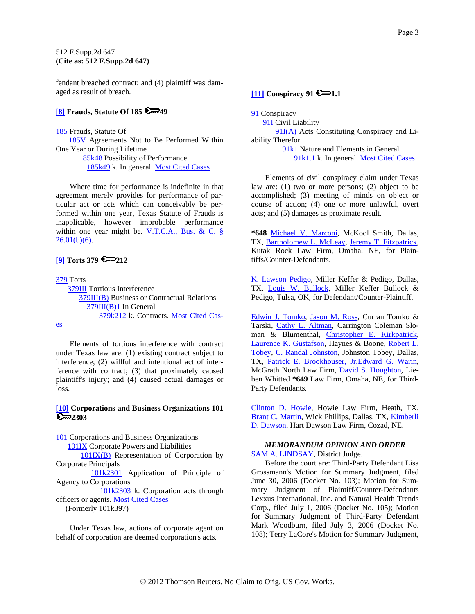<span id="page-2-0"></span>fendant breached contract; and (4) plaintiff was damaged as result of breach.

# **[\[8\]](#page-17-0) Frauds, Statute Of 185 49**

[185](http://www.westlaw.com/KeyNumber/Default.wl?rs=dfa1.0&vr=2.0&CMD=KEY&DocName=185) Frauds, Statute Of [185V](http://www.westlaw.com/KeyNumber/Default.wl?rs=dfa1.0&vr=2.0&CMD=KEY&DocName=185V) Agreements Not to Be Performed Within One Year or During Lifetime [185k48](http://www.westlaw.com/KeyNumber/Default.wl?rs=dfa1.0&vr=2.0&CMD=KEY&DocName=185k48) Possibility of Performance [185k49](http://www.westlaw.com/KeyNumber/Default.wl?rs=dfa1.0&vr=2.0&CMD=KEY&DocName=185k49) k. In general. [Most Cited Cases](http://www.westlaw.com/Digest/Default.wl?rs=dfa1.0&vr=2.0&CMD=MCC&DocName=185k49)

Where time for performance is indefinite in that agreement merely provides for performance of particular act or acts which can conceivably be performed within one year, Texas Statute of Frauds is inapplicable, however improbable performance within one year might be. [V.T.C.A., Bus. & C. §](http://www.westlaw.com/Find/Default.wl?rs=dfa1.0&vr=2.0&DB=1000168&DocName=TXBCS26.01&FindType=L&ReferencePositionType=T&ReferencePosition=SP_61d20000b6d76)   $26.01(b)(6)$ .

# **[\[9\]](#page-18-0) Torts 379 212**

[379](http://www.westlaw.com/KeyNumber/Default.wl?rs=dfa1.0&vr=2.0&CMD=KEY&DocName=379) Torts [379III](http://www.westlaw.com/KeyNumber/Default.wl?rs=dfa1.0&vr=2.0&CMD=KEY&DocName=379III) Tortious Interference [379III\(B\)](http://www.westlaw.com/KeyNumber/Default.wl?rs=dfa1.0&vr=2.0&CMD=KEY&DocName=379III%28B%29) Business or Contractual Relations [379III\(B\)1](http://www.westlaw.com/KeyNumber/Default.wl?rs=dfa1.0&vr=2.0&CMD=KEY&DocName=379III%28B%291) In General [379k212](http://www.westlaw.com/KeyNumber/Default.wl?rs=dfa1.0&vr=2.0&CMD=KEY&DocName=379k212) k. Contracts. [Most Cited Cas-](http://www.westlaw.com/Digest/Default.wl?rs=dfa1.0&vr=2.0&CMD=MCC&DocName=379k212)

[es](http://www.westlaw.com/Digest/Default.wl?rs=dfa1.0&vr=2.0&CMD=MCC&DocName=379k212)

Elements of tortious interference with contract under Texas law are: (1) existing contract subject to interference; (2) willful and intentional act of interference with contract; (3) that proximately caused plaintiff's injury; and (4) caused actual damages or loss.

# **[\[10\]](#page-19-0) Corporations and Business Organizations 101 2**<del>∞</del>2303

[101](http://www.westlaw.com/KeyNumber/Default.wl?rs=dfa1.0&vr=2.0&CMD=KEY&DocName=101) Corporations and Business Organizations [101IX](http://www.westlaw.com/KeyNumber/Default.wl?rs=dfa1.0&vr=2.0&CMD=KEY&DocName=101IX) Corporate Powers and Liabilities [101IX\(B\)](http://www.westlaw.com/KeyNumber/Default.wl?rs=dfa1.0&vr=2.0&CMD=KEY&DocName=101IX%28B%29) Representation of Corporation by Corporate Principals [101k2301](http://www.westlaw.com/KeyNumber/Default.wl?rs=dfa1.0&vr=2.0&CMD=KEY&DocName=101k2301) Application of Principle of Agency to Corporations [101k2303](http://www.westlaw.com/KeyNumber/Default.wl?rs=dfa1.0&vr=2.0&CMD=KEY&DocName=101k2303) k. Corporation acts through officers or agents. [Most Cited Cases](http://www.westlaw.com/Digest/Default.wl?rs=dfa1.0&vr=2.0&CMD=MCC&DocName=101k2303)

(Formerly 101k397)

Under Texas law, actions of corporate agent on behalf of corporation are deemed corporation's acts.

# $[11]$  Conspiracy 91

[91](http://www.westlaw.com/KeyNumber/Default.wl?rs=dfa1.0&vr=2.0&CMD=KEY&DocName=91) Conspiracy

[91I](http://www.westlaw.com/KeyNumber/Default.wl?rs=dfa1.0&vr=2.0&CMD=KEY&DocName=91I) Civil Liability

[91I\(A\)](http://www.westlaw.com/KeyNumber/Default.wl?rs=dfa1.0&vr=2.0&CMD=KEY&DocName=91I%28A%29) Acts Constituting Conspiracy and Liability Therefor

> [91k1](http://www.westlaw.com/KeyNumber/Default.wl?rs=dfa1.0&vr=2.0&CMD=KEY&DocName=91k1) Nature and Elements in General [91k1.1](http://www.westlaw.com/KeyNumber/Default.wl?rs=dfa1.0&vr=2.0&CMD=KEY&DocName=91k1.1) k. In general. [Most Cited Cases](http://www.westlaw.com/Digest/Default.wl?rs=dfa1.0&vr=2.0&CMD=MCC&DocName=91k1.1)

Elements of civil conspiracy claim under Texas law are: (1) two or more persons; (2) object to be accomplished; (3) meeting of minds on object or course of action; (4) one or more unlawful, overt acts; and (5) damages as proximate result.

**\*648** [Michael V. Marconi](http://www.westlaw.com/Find/Default.wl?rs=dfa1.0&vr=2.0&DB=PROFILER-WLD&DocName=0211898101&FindType=h), McKool Smith, Dallas, TX, [Bartholomew L. McLeay](http://www.westlaw.com/Find/Default.wl?rs=dfa1.0&vr=2.0&DB=PROFILER-WLD&DocName=0204674301&FindType=h), [Jeremy T. Fitzpatrick,](http://www.westlaw.com/Find/Default.wl?rs=dfa1.0&vr=2.0&DB=PROFILER-WLD&DocName=0329952101&FindType=h) Kutak Rock Law Firm, Omaha, NE, for Plaintiffs/Counter-Defendants.

[K. Lawson Pedigo,](http://www.westlaw.com/Find/Default.wl?rs=dfa1.0&vr=2.0&DB=PROFILER-WLD&DocName=0250992301&FindType=h) Miller Keffer & Pedigo, Dallas, TX, [Louis W. Bullock,](http://www.westlaw.com/Find/Default.wl?rs=dfa1.0&vr=2.0&DB=PROFILER-WLD&DocName=0159999301&FindType=h) Miller Keffer Bullock & Pedigo, Tulsa, OK, for Defendant/Counter-Plaintiff.

[Edwin J. Tomko](http://www.westlaw.com/Find/Default.wl?rs=dfa1.0&vr=2.0&DB=PROFILER-WLD&DocName=0323581501&FindType=h), [Jason M. Ross,](http://www.westlaw.com/Find/Default.wl?rs=dfa1.0&vr=2.0&DB=PROFILER-WLD&DocName=0328167901&FindType=h) Curran Tomko & Tarski, [Cathy L. Altman,](http://www.westlaw.com/Find/Default.wl?rs=dfa1.0&vr=2.0&DB=PROFILER-WLD&DocName=0102290001&FindType=h) Carrington Coleman Sloman & Blumenthal, [Christopher E. Kirkpatrick,](http://www.westlaw.com/Find/Default.wl?rs=dfa1.0&vr=2.0&DB=PROFILER-WLD&DocName=0329634201&FindType=h) [Laurence K. Gustafson](http://www.westlaw.com/Find/Default.wl?rs=dfa1.0&vr=2.0&DB=PROFILER-WLD&DocName=0261870001&FindType=h), Haynes & Boone, [Robert L.](http://www.westlaw.com/Find/Default.wl?rs=dfa1.0&vr=2.0&DB=PROFILER-WLD&DocName=0138563001&FindType=h)  [Tobey,](http://www.westlaw.com/Find/Default.wl?rs=dfa1.0&vr=2.0&DB=PROFILER-WLD&DocName=0138563001&FindType=h) [C. Randal Johnston](http://www.westlaw.com/Find/Default.wl?rs=dfa1.0&vr=2.0&DB=PROFILER-WLD&DocName=0168837701&FindType=h), Johnston Tobey, Dallas, TX, [Patrick E. Brookhouser, Jr.](http://www.westlaw.com/Find/Default.wl?rs=dfa1.0&vr=2.0&DB=PROFILER-WLD&DocName=0291489601&FindType=h)[Edward G. Warin,](http://www.westlaw.com/Find/Default.wl?rs=dfa1.0&vr=2.0&DB=PROFILER-WLD&DocName=0188324901&FindType=h) McGrath North Law Firm, [David S. Houghton](http://www.westlaw.com/Find/Default.wl?rs=dfa1.0&vr=2.0&DB=PROFILER-WLD&DocName=0132966201&FindType=h), Lieben Whitted **\*649** Law Firm, Omaha, NE, for Third-Party Defendants.

[Clinton D. Howie](http://www.westlaw.com/Find/Default.wl?rs=dfa1.0&vr=2.0&DB=PROFILER-WLD&DocName=0328579201&FindType=h), Howie Law Firm, Heath, TX, [Brant C. Martin](http://www.westlaw.com/Find/Default.wl?rs=dfa1.0&vr=2.0&DB=PROFILER-WLD&DocName=0320265801&FindType=h), Wick Phillips, Dallas, TX, Kimberli [D. Dawson](http://www.westlaw.com/Find/Default.wl?rs=dfa1.0&vr=2.0&DB=PROFILER-WLD&DocName=0317897301&FindType=h), Hart Dawson Law Firm, Cozad, NE.

### *MEMORANDUM OPINION AND ORDER* [SAM A. LINDSAY](http://www.westlaw.com/Find/Default.wl?rs=dfa1.0&vr=2.0&DB=PROFILER-WLD&DocName=0188576301&FindType=h), District Judge.

Before the court are: Third-Party Defendant Lisa Grossmann's Motion for Summary Judgment, filed June 30, 2006 (Docket No. 103); Motion for Summary Judgment of Plaintiff/Counter-Defendants Lexxus International, Inc. and Natural Health Trends Corp., filed July 1, 2006 (Docket No. 105); Motion for Summary Judgment of Third-Party Defendant Mark Woodburn, filed July 3, 2006 (Docket No. 108); Terry LaCore's Motion for Summary Judgment,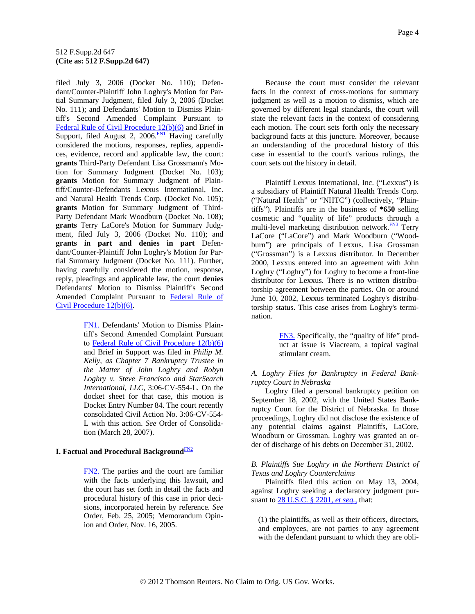<span id="page-3-0"></span>filed July 3, 2006 (Docket No. 110); Defendant/Counter-Plaintiff John Loghry's Motion for Partial Summary Judgment, filed July 3, 2006 (Docket No. 111); and Defendants' Motion to Dismiss Plaintiff's Second Amended Complaint Pursuant to [Federal Rule of Civil Procedure 12\(b\)\(6\)](http://www.westlaw.com/Find/Default.wl?rs=dfa1.0&vr=2.0&DB=1004365&DocName=USFRCPR12&FindType=L) and Brief in Support, filed August 2,  $2006 \frac{FM1}{F}$  Having carefully considered the motions, responses, replies, appendices, evidence, record and applicable law, the court: **grants** Third-Party Defendant Lisa Grossmann's Motion for Summary Judgment (Docket No. 103); **grants** Motion for Summary Judgment of Plaintiff/Counter-Defendants Lexxus International, Inc. and Natural Health Trends Corp. (Docket No. 105); **grants** Motion for Summary Judgment of Third-Party Defendant Mark Woodburn (Docket No. 108); **grants** Terry LaCore's Motion for Summary Judgment, filed July 3, 2006 (Docket No. 110); and **grants in part and denies in part** Defendant/Counter-Plaintiff John Loghry's Motion for Partial Summary Judgment (Docket No. 111). Further, having carefully considered the motion, response, reply, pleadings and applicable law, the court **denies** Defendants' Motion to Dismiss Plaintiff's Second Amended Complaint Pursuant to [Federal Rule of](http://www.westlaw.com/Find/Default.wl?rs=dfa1.0&vr=2.0&DB=1004365&DocName=USFRCPR12&FindType=L)  [Civil Procedure 12\(b\)\(6\).](http://www.westlaw.com/Find/Default.wl?rs=dfa1.0&vr=2.0&DB=1004365&DocName=USFRCPR12&FindType=L)

> [FN1.](#page-3-0) Defendants' Motion to Dismiss Plaintiff's Second Amended Complaint Pursuant to [Federal Rule of Civil Procedure 12\(b\)\(6\)](http://www.westlaw.com/Find/Default.wl?rs=dfa1.0&vr=2.0&DB=1004365&DocName=USFRCPR12&FindType=L) and Brief in Support was filed in *Philip M. Kelly, as Chapter 7 Bankruptcy Trustee in the Matter of John Loghry and Robyn Loghry v. Steve Francisco and StarSearch International, LLC,* 3:06-CV-554-L. On the docket sheet for that case, this motion is Docket Entry Number 84. The court recently consolidated Civil Action No. 3:06-CV-554- L with this action. *See* Order of Consolidation (March 28, 2007).

# **I. Factual and Procedural Background**<sub>[FN2](#page-3-0)</sub>

[FN2.](#page-3-0) The parties and the court are familiar with the facts underlying this lawsuit, and the court has set forth in detail the facts and procedural history of this case in prior decisions, incorporated herein by reference. *See* Order, Feb. 25, 2005; Memorandum Opinion and Order, Nov. 16, 2005.

Because the court must consider the relevant facts in the context of cross-motions for summary judgment as well as a motion to dismiss, which are governed by different legal standards, the court will state the relevant facts in the context of considering each motion. The court sets forth only the necessary background facts at this juncture. Moreover, because an understanding of the procedural history of this case in essential to the court's various rulings, the court sets out the history in detail.

Plaintiff Lexxus International, Inc. ("Lexxus") is a subsidiary of Plaintiff Natural Health Trends Corp. ("Natural Health" or "NHTC") (collectively, "Plaintiffs"). Plaintiffs are in the business of **\*650** selling cosmetic and "quality of life" products through a multi-level marketing distribution network.<sup>FN3</sup> Terry LaCore ("LaCore") and Mark Woodburn ("Woodburn") are principals of Lexxus. Lisa Grossman ("Grossman") is a Lexxus distributor. In December 2000, Lexxus entered into an agreement with John Loghry ("Loghry") for Loghry to become a front-line distributor for Lexxus. There is no written distributorship agreement between the parties. On or around June 10, 2002, Lexxus terminated Loghry's distributorship status. This case arises from Loghry's termination.

> [FN3.](#page-3-0) Specifically, the "quality of life" product at issue is Viacream, a topical vaginal stimulant cream.

### *A. Loghry Files for Bankruptcy in Federal Bankruptcy Court in Nebraska*

Loghry filed a personal bankruptcy petition on September 18, 2002, with the United States Bankruptcy Court for the District of Nebraska. In those proceedings, Loghry did not disclose the existence of any potential claims against Plaintiffs, LaCore, Woodburn or Grossman. Loghry was granted an order of discharge of his debts on December 31, 2002.

### *B. Plaintiffs Sue Loghry in the Northern District of Texas and Loghry Counterclaims*

Plaintiffs filed this action on May 13, 2004, against Loghry seeking a declaratory judgment pursuant to [28 U.S.C. § 2201,](http://www.westlaw.com/Find/Default.wl?rs=dfa1.0&vr=2.0&DB=1000546&DocName=28USCAS2201&FindType=L) *[et seq.,](http://www.westlaw.com/Find/Default.wl?rs=dfa1.0&vr=2.0&DB=1000546&DocName=28USCAS2201&FindType=L)* that:

(1) the plaintiffs, as well as their officers, directors, and employees, are not parties to any agreement with the defendant pursuant to which they are obli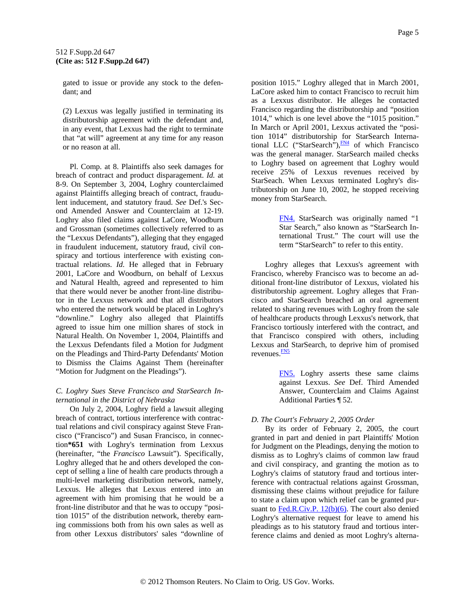<span id="page-4-0"></span>gated to issue or provide any stock to the defendant; and

(2) Lexxus was legally justified in terminating its distributorship agreement with the defendant and, in any event, that Lexxus had the right to terminate that "at will" agreement at any time for any reason or no reason at all.

Pl. Comp. at 8. Plaintiffs also seek damages for breach of contract and product disparagement. *Id.* at 8-9. On September 3, 2004, Loghry counterclaimed against Plaintiffs alleging breach of contract, fraudulent inducement, and statutory fraud. *See* Def.'s Second Amended Answer and Counterclaim at 12-19. Loghry also filed claims against LaCore, Woodburn and Grossman (sometimes collectively referred to as the "Lexxus Defendants"), alleging that they engaged in fraudulent inducement, statutory fraud, civil conspiracy and tortious interference with existing contractual relations. *Id.* He alleged that in February 2001, LaCore and Woodburn, on behalf of Lexxus and Natural Health, agreed and represented to him that there would never be another front-line distributor in the Lexxus network and that all distributors who entered the network would be placed in Loghry's "downline." Loghry also alleged that Plaintiffs agreed to issue him one million shares of stock in Natural Health. On November 1, 2004, Plaintiffs and the Lexxus Defendants filed a Motion for Judgment on the Pleadings and Third-Party Defendants' Motion to Dismiss the Claims Against Them (hereinafter "Motion for Judgment on the Pleadings").

# *C. Loghry Sues Steve Francisco and StarSearch International in the District of Nebraska*

On July 2, 2004, Loghry field a lawsuit alleging breach of contract, tortious interference with contractual relations and civil conspiracy against Steve Francisco ("Francisco") and Susan Francisco, in connection**\*651** with Loghry's termination from Lexxus (hereinafter, "the *Francisco* Lawsuit"). Specifically, Loghry alleged that he and others developed the concept of selling a line of health care products through a multi-level marketing distribution network, namely, Lexxus. He alleges that Lexxus entered into an agreement with him promising that he would be a front-line distributor and that he was to occupy "position 1015" of the distribution network, thereby earning commissions both from his own sales as well as from other Lexxus distributors' sales "downline of

position 1015." Loghry alleged that in March 2001, LaCore asked him to contact Francisco to recruit him as a Lexxus distributor. He alleges he contacted Francisco regarding the distributorship and "position 1014," which is one level above the "1015 position." In March or April 2001, Lexxus activated the "position 1014" distributorship for StarSearch International LLC ("StarSearch"), $\frac{FN4}{FN}$  $\frac{FN4}{FN}$  $\frac{FN4}{FN}$  of which Francisco was the general manager. StarSearch mailed checks to Loghry based on agreement that Loghry would receive 25% of Lexxus revenues received by StarSeach. When Lexxus terminated Loghry's distributorship on June 10, 2002, he stopped receiving money from StarSearch.

> [FN4.](#page-4-0) StarSearch was originally named "1 Star Search," also known as "StarSearch International Trust." The court will use the term "StarSearch" to refer to this entity.

Loghry alleges that Lexxus's agreement with Francisco, whereby Francisco was to become an additional front-line distributor of Lexxus, violated his distributorship agreement. Loghry alleges that Francisco and StarSearch breached an oral agreement related to sharing revenues with Loghry from the sale of healthcare products through Lexxus's network, that Francisco tortiously interfered with the contract, and that Francisco conspired with others, including Lexxus and [S](#page-4-0)tarSearch, to deprive him of promised revenues.<sup>FN5</sup>

> [FN5.](#page-4-0) Loghry asserts these same claims against Lexxus. *See* Def. Third Amended Answer, Counterclaim and Claims Against Additional Parties ¶ 52.

# *D. The Court's February 2, 2005 Order*

By its order of February 2, 2005, the court granted in part and denied in part Plaintiffs' Motion for Judgment on the Pleadings, denying the motion to dismiss as to Loghry's claims of common law fraud and civil conspiracy, and granting the motion as to Loghry's claims of statutory fraud and tortious interference with contractual relations against Grossman, dismissing these claims without prejudice for failure to state a claim upon which relief can be granted pur-suant to [Fed.R.Civ.P. 12\(b\)\(6\).](http://www.westlaw.com/Find/Default.wl?rs=dfa1.0&vr=2.0&DB=1004365&DocName=USFRCPR12&FindType=L) The court also denied Loghry's alternative request for leave to amend his pleadings as to his statutory fraud and tortious interference claims and denied as moot Loghry's alterna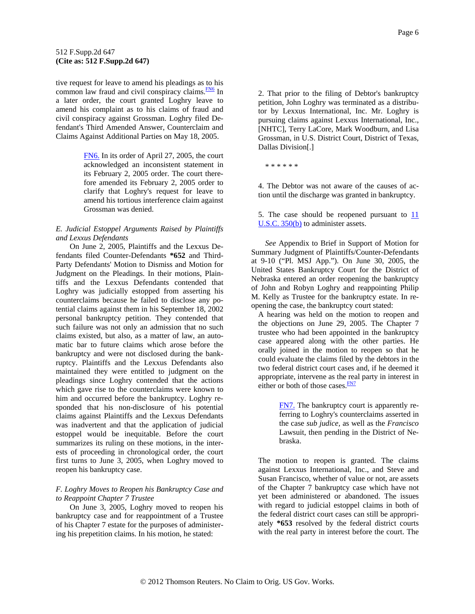<span id="page-5-0"></span>tive request for leave to amend his pleadings as to his common law fraud and civil conspiracy claims. $\frac{FN6}{FN}$  In a later order, the court granted Loghry leave to amend his complaint as to his claims of fraud and civil conspiracy against Grossman. Loghry filed Defendant's Third Amended Answer, Counterclaim and Claims Against Additional Parties on May 18, 2005.

> [FN6.](#page-5-0) In its order of April 27, 2005, the court acknowledged an inconsistent statement in its February 2, 2005 order. The court therefore amended its February 2, 2005 order to clarify that Loghry's request for leave to amend his tortious interference claim against Grossman was denied.

# *E. Judicial Estoppel Arguments Raised by Plaintiffs and Lexxus Defendants*

On June 2, 2005, Plaintiffs and the Lexxus Defendants filed Counter-Defendants **\*652** and Third-Party Defendants' Motion to Dismiss and Motion for Judgment on the Pleadings. In their motions, Plaintiffs and the Lexxus Defendants contended that Loghry was judicially estopped from asserting his counterclaims because he failed to disclose any potential claims against them in his September 18, 2002 personal bankruptcy petition. They contended that such failure was not only an admission that no such claims existed, but also, as a matter of law, an automatic bar to future claims which arose before the bankruptcy and were not disclosed during the bankruptcy. Plaintiffs and the Lexxus Defendants also maintained they were entitled to judgment on the pleadings since Loghry contended that the actions which gave rise to the counterclaims were known to him and occurred before the bankruptcy. Loghry responded that his non-disclosure of his potential claims against Plaintiffs and the Lexxus Defendants was inadvertent and that the application of judicial estoppel would be inequitable. Before the court summarizes its ruling on these motions, in the interests of proceeding in chronological order, the court first turns to June 3, 2005, when Loghry moved to reopen his bankruptcy case.

# *F. Loghry Moves to Reopen his Bankruptcy Case and to Reappoint Chapter 7 Trustee*

On June 3, 2005, Loghry moved to reopen his bankruptcy case and for reappointment of a Trustee of his Chapter 7 estate for the purposes of administering his prepetition claims. In his motion, he stated:

2. That prior to the filing of Debtor's bankruptcy petition, John Loghry was terminated as a distributor by Lexxus International, Inc. Mr. Loghry is pursuing claims against Lexxus International, Inc., [NHTC], Terry LaCore, Mark Woodburn, and Lisa Grossman, in U.S. District Court, District of Texas, Dallas Division[.]

\* \* \* \* \* \*

4. The Debtor was not aware of the causes of action until the discharge was granted in bankruptcy.

5. The case should be reopened pursuant to [11](http://www.westlaw.com/Find/Default.wl?rs=dfa1.0&vr=2.0&DB=1000546&DocName=11USCAS350&FindType=L&ReferencePositionType=T&ReferencePosition=SP_a83b000018c76)  [U.S.C. 350\(b\)](http://www.westlaw.com/Find/Default.wl?rs=dfa1.0&vr=2.0&DB=1000546&DocName=11USCAS350&FindType=L&ReferencePositionType=T&ReferencePosition=SP_a83b000018c76) to administer assets.

*See* Appendix to Brief in Support of Motion for Summary Judgment of Plaintiffs/Counter-Defendants at 9-10 ("Pl. MSJ App."). On June 30, 2005, the United States Bankruptcy Court for the District of Nebraska entered an order reopening the bankruptcy of John and Robyn Loghry and reappointing Philip M. Kelly as Trustee for the bankruptcy estate. In reopening the case, the bankruptcy court stated:

A hearing was held on the motion to reopen and the objections on June 29, 2005. The Chapter 7 trustee who had been appointed in the bankruptcy case appeared along with the other parties. He orally joined in the motion to reopen so that he could evaluate the claims filed by the debtors in the two federal district court cases and, if he deemed it appropriate, intervene as the re[al](#page-5-0) party in interest in either or both of those cases. **FN7** 

> [FN7.](#page-5-0) The bankruptcy court is apparently referring to Loghry's counterclaims asserted in the case *sub judice,* as well as the *Francisco* Lawsuit, then pending in the District of Nebraska.

The motion to reopen is granted. The claims against Lexxus International, Inc., and Steve and Susan Francisco, whether of value or not, are assets of the Chapter 7 bankruptcy case which have not yet been administered or abandoned. The issues with regard to judicial estoppel claims in both of the federal district court cases can still be appropriately **\*653** resolved by the federal district courts with the real party in interest before the court. The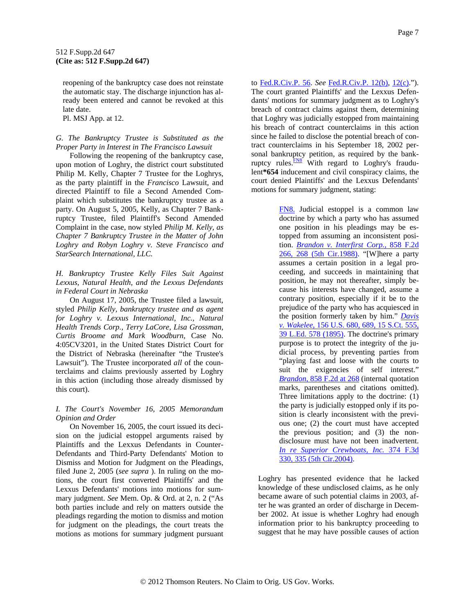<span id="page-6-0"></span>reopening of the bankruptcy case does not reinstate the automatic stay. The discharge injunction has already been entered and cannot be revoked at this late date.

Pl. MSJ App. at 12.

# *G. The Bankruptcy Trustee is Substituted as the Proper Party in Interest in The Francisco Lawsuit*

Following the reopening of the bankruptcy case, upon motion of Loghry, the district court substituted Philip M. Kelly, Chapter 7 Trustee for the Loghrys, as the party plaintiff in the *Francisco* Lawsuit, and directed Plaintiff to file a Second Amended Complaint which substitutes the bankruptcy trustee as a party. On August 5, 2005, Kelly, as Chapter 7 Bankruptcy Trustee, filed Plaintiff's Second Amended Complaint in the case, now styled *Philip M. Kelly, as Chapter 7 Bankruptcy Trustee in the Matter of John Loghry and Robyn Loghry v. Steve Francisco and StarSearch International, LLC.*

*H. Bankruptcy Trustee Kelly Files Suit Against Lexxus, Natural Health, and the Lexxus Defendants in Federal Court in Nebraska*

On August 17, 2005, the Trustee filed a lawsuit, styled *Philip Kelly, bankruptcy trustee and as agent for Loghry v. Lexxus International, Inc., Natural Health Trends Corp., Terry LaCore, Lisa Grossman, Curtis Broome and Mark Woodburn,* Case No. 4:05CV3201, in the United States District Court for the District of Nebraska (hereinafter "the Trustee's Lawsuit"). The Trustee incorporated *all* of the counterclaims and claims previously asserted by Loghry in this action (including those already dismissed by this court).

### *I. The Court's November 16, 2005 Memorandum Opinion and Order*

On November 16, 2005, the court issued its decision on the judicial estoppel arguments raised by Plaintiffs and the Lexxus Defendants in Counter-Defendants and Third-Party Defendants' Motion to Dismiss and Motion for Judgment on the Pleadings, filed June 2, 2005 (*see supra* ). In ruling on the motions, the court first converted Plaintiffs' and the Lexxus Defendants' motions into motions for summary judgment. *See* Mem. Op. & Ord. at 2, n. 2 ("As both parties include and rely on matters outside the pleadings regarding the motion to dismiss and motion for judgment on the pleadings, the court treats the motions as motions for summary judgment pursuant

to [Fed.R.Civ.P. 56](http://www.westlaw.com/Find/Default.wl?rs=dfa1.0&vr=2.0&DB=1004365&DocName=USFRCPR56&FindType=L). *See* [Fed.R.Civ.P. 12\(b\)](http://www.westlaw.com/Find/Default.wl?rs=dfa1.0&vr=2.0&DB=1004365&DocName=USFRCPR12&FindType=L), [12\(c\)](http://www.westlaw.com/Find/Default.wl?rs=dfa1.0&vr=2.0&DB=1004365&DocName=USFRCPR12&FindType=L)."). The court granted Plaintiffs' and the Lexxus Defendants' motions for summary judgment as to Loghry's breach of contract claims against them, determining that Loghry was judicially estopped from maintaining his breach of contract counterclaims in this action since he failed to disclose the potential breach of contract counterclaims in his September 18, 2002 personal bankruptcy petition, as required by the bankruptcy rules. $\frac{FNS}{F}$  With regard to Loghry's fraudulent**\*654** inducement and civil conspiracy claims, the court denied Plaintiffs' and the Lexxus Defendants' motions for summary judgment, stating:

> [FN8.](#page-6-0) Judicial estoppel is a common law doctrine by which a party who has assumed one position in his pleadings may be estopped from assuming an inconsistent position. *[Brandon v. Interfirst Corp.,](http://www.westlaw.com/Find/Default.wl?rs=dfa1.0&vr=2.0&DB=350&FindType=Y&ReferencePositionType=S&SerialNum=1988128104&ReferencePosition=268)* [858 F.2d](http://www.westlaw.com/Find/Default.wl?rs=dfa1.0&vr=2.0&DB=350&FindType=Y&ReferencePositionType=S&SerialNum=1988128104&ReferencePosition=268)  [266, 268 \(5th Cir.1988\).](http://www.westlaw.com/Find/Default.wl?rs=dfa1.0&vr=2.0&DB=350&FindType=Y&ReferencePositionType=S&SerialNum=1988128104&ReferencePosition=268) "[W]here a party assumes a certain position in a legal proceeding, and succeeds in maintaining that position, he may not thereafter, simply because his interests have changed, assume a contrary position, especially if it be to the prejudice of the party who has acquiesced in the position formerly taken by him." *[Davis](http://www.westlaw.com/Find/Default.wl?rs=dfa1.0&vr=2.0&DB=708&FindType=Y&SerialNum=1895180150)  [v. Wakelee,](http://www.westlaw.com/Find/Default.wl?rs=dfa1.0&vr=2.0&DB=708&FindType=Y&SerialNum=1895180150)* [156 U.S. 680, 689, 15 S.Ct. 555,](http://www.westlaw.com/Find/Default.wl?rs=dfa1.0&vr=2.0&DB=708&FindType=Y&SerialNum=1895180150)  [39 L.Ed. 578 \(1895\).](http://www.westlaw.com/Find/Default.wl?rs=dfa1.0&vr=2.0&DB=708&FindType=Y&SerialNum=1895180150) The doctrine's primary purpose is to protect the integrity of the judicial process, by preventing parties from "playing fast and loose with the courts to suit the exigencies of self interest." *[Brandon,](http://www.westlaw.com/Find/Default.wl?rs=dfa1.0&vr=2.0&DB=350&FindType=Y&ReferencePositionType=S&SerialNum=1988128104&ReferencePosition=268)* [858 F.2d at 268](http://www.westlaw.com/Find/Default.wl?rs=dfa1.0&vr=2.0&DB=350&FindType=Y&ReferencePositionType=S&SerialNum=1988128104&ReferencePosition=268) (internal quotation marks, parentheses and citations omitted). Three limitations apply to the doctrine: (1) the party is judicially estopped only if its position is clearly inconsistent with the previous one; (2) the court must have accepted the previous position; and (3) the nondisclosure must have not been inadvertent. *[In re Superior Crewboats, Inc.](http://www.westlaw.com/Find/Default.wl?rs=dfa1.0&vr=2.0&DB=506&FindType=Y&ReferencePositionType=S&SerialNum=2004611738&ReferencePosition=335)* [374 F.3d](http://www.westlaw.com/Find/Default.wl?rs=dfa1.0&vr=2.0&DB=506&FindType=Y&ReferencePositionType=S&SerialNum=2004611738&ReferencePosition=335)  [330, 335 \(5th Cir.2004\).](http://www.westlaw.com/Find/Default.wl?rs=dfa1.0&vr=2.0&DB=506&FindType=Y&ReferencePositionType=S&SerialNum=2004611738&ReferencePosition=335)

Loghry has presented evidence that he lacked knowledge of these undisclosed claims, as he only became aware of such potential claims in 2003, after he was granted an order of discharge in December 2002. At issue is whether Loghry had enough information prior to his bankruptcy proceeding to suggest that he may have possible causes of action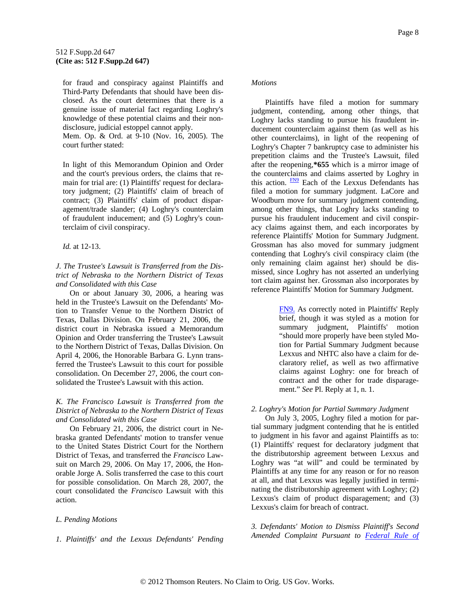<span id="page-7-0"></span>for fraud and conspiracy against Plaintiffs and Third-Party Defendants that should have been disclosed. As the court determines that there is a genuine issue of material fact regarding Loghry's knowledge of these potential claims and their nondisclosure, judicial estoppel cannot apply.

Mem. Op. & Ord. at 9-10 (Nov. 16, 2005). The court further stated:

In light of this Memorandum Opinion and Order and the court's previous orders, the claims that remain for trial are: (1) Plaintiffs' request for declaratory judgment; (2) Plaintiffs' claim of breach of contract; (3) Plaintiffs' claim of product disparagement/trade slander; (4) Loghry's counterclaim of fraudulent inducement; and (5) Loghry's counterclaim of civil conspiracy.

# *Id.* at 12-13.

*J. The Trustee's Lawsuit is Transferred from the District of Nebraska to the Northern District of Texas and Consolidated with this Case*

On or about January 30, 2006, a hearing was held in the Trustee's Lawsuit on the Defendants' Motion to Transfer Venue to the Northern District of Texas, Dallas Division. On February 21, 2006, the district court in Nebraska issued a Memorandum Opinion and Order transferring the Trustee's Lawsuit to the Northern District of Texas, Dallas Division. On April 4, 2006, the Honorable Barbara G. Lynn transferred the Trustee's Lawsuit to this court for possible consolidation. On December 27, 2006, the court consolidated the Trustee's Lawsuit with this action.

# *K. The Francisco Lawsuit is Transferred from the District of Nebraska to the Northern District of Texas and Consolidated with this Case*

On February 21, 2006, the district court in Nebraska granted Defendants' motion to transfer venue to the United States District Court for the Northern District of Texas, and transferred the *Francisco* Lawsuit on March 29, 2006. On May 17, 2006, the Honorable Jorge A. Solis transferred the case to this court for possible consolidation. On March 28, 2007, the court consolidated the *Francisco* Lawsuit with this action.

# *L. Pending Motions*

### *1. Plaintiffs' and the Lexxus Defendants' Pending*

#### *Motions*

Plaintiffs have filed a motion for summary judgment, contending, among other things, that Loghry lacks standing to pursue his fraudulent inducement counterclaim against them (as well as his other counterclaims), in light of the reopening of Loghry's Chapter 7 bankruptcy case to administer his prepetition claims and the Trustee's Lawsuit, filed after the reopening,**\*655** which is a mirror image of the counterclaims and claims asserted by Loghry in this action.  $\frac{FN9}{FN}$  $\frac{FN9}{FN}$  $\frac{FN9}{FN}$  Each of the Lexxus Defendants has filed a motion for summary judgment. LaCore and Woodburn move for summary judgment contending, among other things, that Loghry lacks standing to pursue his fraudulent inducement and civil conspiracy claims against them, and each incorporates by reference Plaintiffs' Motion for Summary Judgment. Grossman has also moved for summary judgment contending that Loghry's civil conspiracy claim (the only remaining claim against her) should be dismissed, since Loghry has not asserted an underlying tort claim against her. Grossman also incorporates by reference Plaintiffs' Motion for Summary Judgment.

> [FN9.](#page-7-0) As correctly noted in Plaintiffs' Reply brief, though it was styled as a motion for summary judgment, Plaintiffs' motion "should more properly have been styled Motion for Partial Summary Judgment because Lexxus and NHTC also have a claim for declaratory relief, as well as two affirmative claims against Loghry: one for breach of contract and the other for trade disparagement." *See* Pl. Reply at 1, n. 1.

### *2. Loghry's Motion for Partial Summary Judgment*

On July 3, 2005, Loghry filed a motion for partial summary judgment contending that he is entitled to judgment in his favor and against Plaintiffs as to: (1) Plaintiffs' request for declaratory judgment that the distributorship agreement between Lexxus and Loghry was "at will" and could be terminated by Plaintiffs at any time for any reason or for no reason at all, and that Lexxus was legally justified in terminating the distributorship agreement with Loghry; (2) Lexxus's claim of product disparagement; and (3) Lexxus's claim for breach of contract.

*3. Defendants' Motion to Dismiss Plaintiff's Second Amended Complaint Pursuant to [Federal Rule of](http://www.westlaw.com/Find/Default.wl?rs=dfa1.0&vr=2.0&DB=1004365&DocName=USFRCPR12&FindType=L)*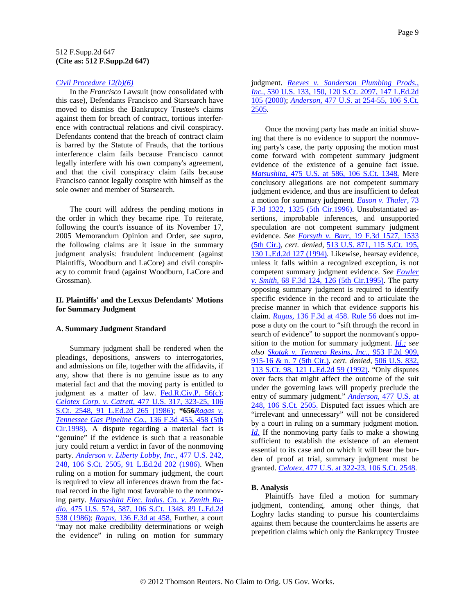#### *[Civil Procedure 12\(b\)\(6\)](http://www.westlaw.com/Find/Default.wl?rs=dfa1.0&vr=2.0&DB=1004365&DocName=USFRCPR12&FindType=L)*

In the *Francisco* Lawsuit (now consolidated with this case), Defendants Francisco and Starsearch have moved to dismiss the Bankruptcy Trustee's claims against them for breach of contract, tortious interference with contractual relations and civil conspiracy. Defendants contend that the breach of contract claim is barred by the Statute of Frauds, that the tortious interference claim fails because Francisco cannot legally interfere with his own company's agreement, and that the civil conspiracy claim fails because Francisco cannot legally conspire with himself as the sole owner and member of Starsearch.

The court will address the pending motions in the order in which they became ripe. To reiterate, following the court's issuance of its November 17, 2005 Memorandum Opinion and Order, *see supra,* the following claims are it issue in the summary judgment analysis: fraudulent inducement (against Plaintiffs, Woodburn and LaCore) and civil conspiracy to commit fraud (against Woodburn, LaCore and Grossman).

### **II. Plaintiffs' and the Lexxus Defendants' Motions for Summary Judgment**

#### **A. Summary Judgment Standard**

Summary judgment shall be rendered when the pleadings, depositions, answers to interrogatories, and admissions on file, together with the affidavits, if any, show that there is no genuine issue as to any material fact and that the moving party is entitled to judgment as a matter of law. [Fed.R.Civ.P. 56\(c\)](http://www.westlaw.com/Find/Default.wl?rs=dfa1.0&vr=2.0&DB=1004365&DocName=USFRCPR56&FindType=L); *[Celotex Corp. v. Catrett,](http://www.westlaw.com/Find/Default.wl?rs=dfa1.0&vr=2.0&DB=708&FindType=Y&SerialNum=1986132677)* [477 U.S. 317, 323-25, 106](http://www.westlaw.com/Find/Default.wl?rs=dfa1.0&vr=2.0&DB=708&FindType=Y&SerialNum=1986132677)  [S.Ct. 2548, 91 L.Ed.2d 265 \(1986\)](http://www.westlaw.com/Find/Default.wl?rs=dfa1.0&vr=2.0&DB=708&FindType=Y&SerialNum=1986132677); **\*656***[Ragas v.](http://www.westlaw.com/Find/Default.wl?rs=dfa1.0&vr=2.0&DB=506&FindType=Y&ReferencePositionType=S&SerialNum=1998060346&ReferencePosition=458)  [Tennessee Gas Pipeline Co.,](http://www.westlaw.com/Find/Default.wl?rs=dfa1.0&vr=2.0&DB=506&FindType=Y&ReferencePositionType=S&SerialNum=1998060346&ReferencePosition=458)* [136 F.3d 455, 458 \(5th](http://www.westlaw.com/Find/Default.wl?rs=dfa1.0&vr=2.0&DB=506&FindType=Y&ReferencePositionType=S&SerialNum=1998060346&ReferencePosition=458)  [Cir.1998\).](http://www.westlaw.com/Find/Default.wl?rs=dfa1.0&vr=2.0&DB=506&FindType=Y&ReferencePositionType=S&SerialNum=1998060346&ReferencePosition=458) A dispute regarding a material fact is "genuine" if the evidence is such that a reasonable jury could return a verdict in favor of the nonmoving party. *[Anderson v. Liberty Lobby, Inc.,](http://www.westlaw.com/Find/Default.wl?rs=dfa1.0&vr=2.0&DB=708&FindType=Y&SerialNum=1986132674)* [477 U.S. 242,](http://www.westlaw.com/Find/Default.wl?rs=dfa1.0&vr=2.0&DB=708&FindType=Y&SerialNum=1986132674)  [248, 106 S.Ct. 2505, 91 L.Ed.2d 202 \(1986\).](http://www.westlaw.com/Find/Default.wl?rs=dfa1.0&vr=2.0&DB=708&FindType=Y&SerialNum=1986132674) When ruling on a motion for summary judgment, the court is required to view all inferences drawn from the factual record in the light most favorable to the nonmoving party. *[Matsushita Elec. Indus. Co. v. Zenith Ra](http://www.westlaw.com/Find/Default.wl?rs=dfa1.0&vr=2.0&DB=708&FindType=Y&SerialNum=1986115992)[dio,](http://www.westlaw.com/Find/Default.wl?rs=dfa1.0&vr=2.0&DB=708&FindType=Y&SerialNum=1986115992)* [475 U.S. 574, 587, 106 S.Ct. 1348, 89 L.Ed.2d](http://www.westlaw.com/Find/Default.wl?rs=dfa1.0&vr=2.0&DB=708&FindType=Y&SerialNum=1986115992)  [538 \(1986\);](http://www.westlaw.com/Find/Default.wl?rs=dfa1.0&vr=2.0&DB=708&FindType=Y&SerialNum=1986115992) *[Ragas,](http://www.westlaw.com/Find/Default.wl?rs=dfa1.0&vr=2.0&DB=506&FindType=Y&ReferencePositionType=S&SerialNum=1998060346&ReferencePosition=458)* [136 F.3d at 458.](http://www.westlaw.com/Find/Default.wl?rs=dfa1.0&vr=2.0&DB=506&FindType=Y&ReferencePositionType=S&SerialNum=1998060346&ReferencePosition=458) Further, a court "may not make credibility determinations or weigh the evidence" in ruling on motion for summary

# judgment. *[Reeves v. Sanderson Plumbing Prods.,](http://www.westlaw.com/Find/Default.wl?rs=dfa1.0&vr=2.0&DB=708&FindType=Y&SerialNum=2000377873)  [Inc.,](http://www.westlaw.com/Find/Default.wl?rs=dfa1.0&vr=2.0&DB=708&FindType=Y&SerialNum=2000377873)* [530 U.S. 133, 150, 120 S.Ct. 2097, 147 L.Ed.2d](http://www.westlaw.com/Find/Default.wl?rs=dfa1.0&vr=2.0&DB=708&FindType=Y&SerialNum=2000377873)  [105 \(2000\);](http://www.westlaw.com/Find/Default.wl?rs=dfa1.0&vr=2.0&DB=708&FindType=Y&SerialNum=2000377873) *[Anderson,](http://www.westlaw.com/Find/Default.wl?rs=dfa1.0&vr=2.0&DB=708&FindType=Y&SerialNum=1986132674)* [477 U.S. at 254-55, 106 S.Ct.](http://www.westlaw.com/Find/Default.wl?rs=dfa1.0&vr=2.0&DB=708&FindType=Y&SerialNum=1986132674)  [2505.](http://www.westlaw.com/Find/Default.wl?rs=dfa1.0&vr=2.0&DB=708&FindType=Y&SerialNum=1986132674)

Once the moving party has made an initial showing that there is no evidence to support the nonmoving party's case, the party opposing the motion must come forward with competent summary judgment evidence of the existence of a genuine fact issue. *[Matsushita,](http://www.westlaw.com/Find/Default.wl?rs=dfa1.0&vr=2.0&DB=708&FindType=Y&SerialNum=1986115992)* [475 U.S. at 586, 106 S.Ct. 1348.](http://www.westlaw.com/Find/Default.wl?rs=dfa1.0&vr=2.0&DB=708&FindType=Y&SerialNum=1986115992) Mere conclusory allegations are not competent summary judgment evidence, and thus are insufficient to defeat a motion for summary judgment. *[Eason v. Thaler,](http://www.westlaw.com/Find/Default.wl?rs=dfa1.0&vr=2.0&DB=506&FindType=Y&ReferencePositionType=S&SerialNum=1996032262&ReferencePosition=1325)* [73](http://www.westlaw.com/Find/Default.wl?rs=dfa1.0&vr=2.0&DB=506&FindType=Y&ReferencePositionType=S&SerialNum=1996032262&ReferencePosition=1325)  [F.3d 1322, 1325 \(5th Cir.1996\)](http://www.westlaw.com/Find/Default.wl?rs=dfa1.0&vr=2.0&DB=506&FindType=Y&ReferencePositionType=S&SerialNum=1996032262&ReferencePosition=1325). Unsubstantiated assertions, improbable inferences, and unsupported speculation are not competent summary judgment evidence. *See [Forsyth v. Barr,](http://www.westlaw.com/Find/Default.wl?rs=dfa1.0&vr=2.0&DB=506&FindType=Y&ReferencePositionType=S&SerialNum=1994089241&ReferencePosition=1533)* [19 F.3d 1527, 1533](http://www.westlaw.com/Find/Default.wl?rs=dfa1.0&vr=2.0&DB=506&FindType=Y&ReferencePositionType=S&SerialNum=1994089241&ReferencePosition=1533)  [\(5th Cir.\),](http://www.westlaw.com/Find/Default.wl?rs=dfa1.0&vr=2.0&DB=506&FindType=Y&ReferencePositionType=S&SerialNum=1994089241&ReferencePosition=1533) *cert. denied,* [513 U.S. 871, 115 S.Ct. 195,](http://www.westlaw.com/Find/Default.wl?rs=dfa1.0&vr=2.0&DB=708&FindType=Y&SerialNum=1994157452)  [130 L.Ed.2d 127 \(1994\)](http://www.westlaw.com/Find/Default.wl?rs=dfa1.0&vr=2.0&DB=708&FindType=Y&SerialNum=1994157452). Likewise, hearsay evidence, unless it falls within a recognized exception, is not competent summary judgment evidence. *See [Fowler](http://www.westlaw.com/Find/Default.wl?rs=dfa1.0&vr=2.0&DB=506&FindType=Y&ReferencePositionType=S&SerialNum=1995209913&ReferencePosition=126)  [v. Smith,](http://www.westlaw.com/Find/Default.wl?rs=dfa1.0&vr=2.0&DB=506&FindType=Y&ReferencePositionType=S&SerialNum=1995209913&ReferencePosition=126)* [68 F.3d 124, 126 \(5th Cir.1995\).](http://www.westlaw.com/Find/Default.wl?rs=dfa1.0&vr=2.0&DB=506&FindType=Y&ReferencePositionType=S&SerialNum=1995209913&ReferencePosition=126) The party opposing summary judgment is required to identify specific evidence in the record and to articulate the precise manner in which that evidence supports his claim. *[Ragas,](http://www.westlaw.com/Find/Default.wl?rs=dfa1.0&vr=2.0&DB=506&FindType=Y&ReferencePositionType=S&SerialNum=1998060346&ReferencePosition=458)* [136 F.3d at 458.](http://www.westlaw.com/Find/Default.wl?rs=dfa1.0&vr=2.0&DB=506&FindType=Y&ReferencePositionType=S&SerialNum=1998060346&ReferencePosition=458) [Rule 56](http://www.westlaw.com/Find/Default.wl?rs=dfa1.0&vr=2.0&DB=1004365&DocName=USFRCPR56&FindType=L) does not impose a duty on the court to "sift through the record in search of evidence" to support the nonmovant's opposition to the motion for summary judgment. *[Id.;](http://www.westlaw.com/Find/Default.wl?rs=dfa1.0&vr=2.0&FindType=Y&SerialNum=1998060346) see also [Skotak v. Tenneco Resins, Inc.,](http://www.westlaw.com/Find/Default.wl?rs=dfa1.0&vr=2.0&DB=350&FindType=Y&ReferencePositionType=S&SerialNum=1992034095&ReferencePosition=915)* [953 F.2d 909,](http://www.westlaw.com/Find/Default.wl?rs=dfa1.0&vr=2.0&DB=350&FindType=Y&ReferencePositionType=S&SerialNum=1992034095&ReferencePosition=915)  [915-16 & n. 7 \(5th Cir.\),](http://www.westlaw.com/Find/Default.wl?rs=dfa1.0&vr=2.0&DB=350&FindType=Y&ReferencePositionType=S&SerialNum=1992034095&ReferencePosition=915) *cert. denied,* [506 U.S. 832,](http://www.westlaw.com/Find/Default.wl?rs=dfa1.0&vr=2.0&DB=708&FindType=Y&SerialNum=1992123742)  [113 S.Ct. 98, 121 L.Ed.2d 59 \(1992\)](http://www.westlaw.com/Find/Default.wl?rs=dfa1.0&vr=2.0&DB=708&FindType=Y&SerialNum=1992123742). "Only disputes over facts that might affect the outcome of the suit under the governing laws will properly preclude the entry of summary judgment." *[Anderson,](http://www.westlaw.com/Find/Default.wl?rs=dfa1.0&vr=2.0&DB=708&FindType=Y&SerialNum=1986132674)* [477 U.S. at](http://www.westlaw.com/Find/Default.wl?rs=dfa1.0&vr=2.0&DB=708&FindType=Y&SerialNum=1986132674)  [248, 106 S.Ct. 2505.](http://www.westlaw.com/Find/Default.wl?rs=dfa1.0&vr=2.0&DB=708&FindType=Y&SerialNum=1986132674) Disputed fact issues which are "irrelevant and unnecessary" will not be considered by a court in ruling on a summary judgment motion. *[Id.](http://www.westlaw.com/Find/Default.wl?rs=dfa1.0&vr=2.0&FindType=Y&SerialNum=1986132674)* If the nonmoving party fails to make a showing sufficient to establish the existence of an element essential to its case and on which it will bear the burden of proof at trial, summary judgment must be granted. *[Celotex,](http://www.westlaw.com/Find/Default.wl?rs=dfa1.0&vr=2.0&DB=708&FindType=Y&SerialNum=1986132677)* [477 U.S. at 322-23, 106 S.Ct. 2548](http://www.westlaw.com/Find/Default.wl?rs=dfa1.0&vr=2.0&DB=708&FindType=Y&SerialNum=1986132677).

## **B. Analysis**

Plaintiffs have filed a motion for summary judgment, contending, among other things, that Loghry lacks standing to pursue his counterclaims against them because the counterclaims he asserts are prepetition claims which only the Bankruptcy Trustee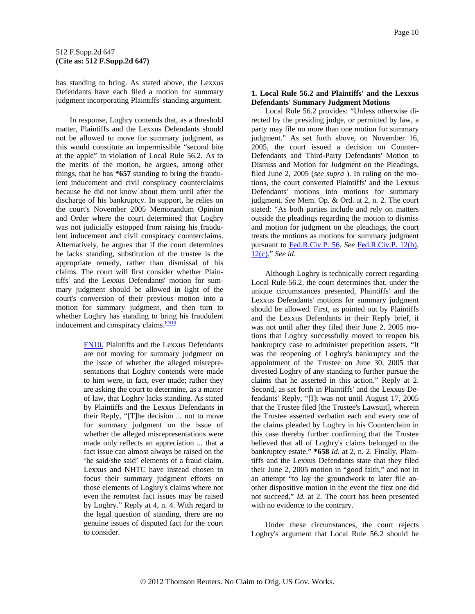<span id="page-9-0"></span>has standing to bring. As stated above, the Lexxus Defendants have each filed a motion for summary judgment incorporating Plaintiffs' standing argument.

In response, Loghry contends that, as a threshold matter, Plaintiffs and the Lexxus Defendants should not be allowed to move for summary judgment, as this would constitute an impermissible "second bite at the apple" in violation of Local Rule 56.2. As to the merits of the motion, he argues, among other things, that he has **\*657** standing to bring the fraudulent inducement and civil conspiracy counterclaims because he did not know about them until after the discharge of his bankruptcy. In support, he relies on the court's November 2005 Memorandum Opinion and Order where the court determined that Loghry was not judicially estopped from raising his fraudulent inducement and civil conspiracy counterclaims. Alternatively, he argues that if the court determines he lacks standing, substitution of the trustee is the appropriate remedy, rather than dismissal of his claims. The court will first consider whether Plaintiffs' and the Lexxus Defendants' motion for summary judgment should be allowed in light of the court's conversion of their previous motion into a motion for summary judgment, and then turn to whether Loghry has standing to brin[g](#page-9-0) his fraudulent inducement and conspiracy claims. $F<sub>N10</sub>$ 

> [FN10.](#page-9-0) Plaintiffs and the Lexxus Defendants are not moving for summary judgment on the issue of whether the alleged misrepresentations that Loghry contends were made to him were, in fact, ever made; rather they are asking the court to determine, as a matter of law, that Loghry lacks standing. As stated by Plaintiffs and the Lexxus Defendants in their Reply, "[T]he decision ... not to move for summary judgment on the issue of whether the alleged misrepresentations were made only reflects an appreciation ... that a fact issue can almost always be raised on the 'he said/she said' elements of a fraud claim. Lexxus and NHTC have instead chosen to focus their summary judgment efforts on those elements of Loghry's claims where not even the remotest fact issues may be raised by Loghry." Reply at 4, n. 4. With regard to the legal question of standing, there are no genuine issues of disputed fact for the court to consider.

# **1. Local Rule 56.2 and Plaintiffs' and the Lexxus Defendants' Summary Judgment Motions**

Local Rule 56.2 provides: "Unless otherwise directed by the presiding judge, or permitted by law, a party may file no more than one motion for summary judgment." As set forth above, on November 16, 2005, the court issued a decision on Counter-Defendants and Third-Party Defendants' Motion to Dismiss and Motion for Judgment on the Pleadings, filed June 2, 2005 (*see supra* ). In ruling on the motions, the court converted Plaintiffs' and the Lexxus Defendants' motions into motions for summary judgment. *See* Mem. Op. & Ord. at 2, n. 2. The court stated: "As both parties include and rely on matters outside the pleadings regarding the motion to dismiss and motion for judgment on the pleadings, the court treats the motions as motions for summary judgment pursuant to [Fed.R.Civ.P. 56.](http://www.westlaw.com/Find/Default.wl?rs=dfa1.0&vr=2.0&DB=1004365&DocName=USFRCPR56&FindType=L) *See* [Fed.R.Civ.P. 12\(b\)](http://www.westlaw.com/Find/Default.wl?rs=dfa1.0&vr=2.0&DB=1004365&DocName=USFRCPR12&FindType=L), [12\(c\)](http://www.westlaw.com/Find/Default.wl?rs=dfa1.0&vr=2.0&DB=1004365&DocName=USFRCPR12&FindType=L)." *See id.*

Although Loghry is technically correct regarding Local Rule 56.2, the court determines that, under the unique circumstances presented, Plaintiffs' and the Lexxus Defendants' motions for summary judgment should be allowed. First, as pointed out by Plaintiffs and the Lexxus Defendants in their Reply brief, it was not until after they filed their June 2, 2005 motions that Loghry successfully moved to reopen his bankruptcy case to administer prepetition assets. "It was the reopening of Loghry's bankruptcy and the appointment of the Trustee on June 30, 2005 that divested Loghry of any standing to further pursue the claims that he asserted in this action." Reply at 2. Second, as set forth in Plaintiffs' and the Lexxus Defendants' Reply, "[I]t was not until August 17, 2005 that the Trustee filed [the Trustee's Lawsuit], wherein the Trustee asserted verbatim each and every one of the claims pleaded by Loghry in his Counterclaim in this case thereby further confirming that the Trustee believed that all of Loghry's claims belonged to the bankruptcy estate." **\*658** *Id.* at 2, n. 2. Finally, Plaintiffs and the Lexxus Defendants state that they filed their June 2, 2005 motion in "good faith," and not in an attempt "to lay the groundwork to later file another dispositive motion in the event the first one did not succeed." *Id.* at 2. The court has been presented with no evidence to the contrary.

Under these circumstances, the court rejects Loghry's argument that Local Rule 56.2 should be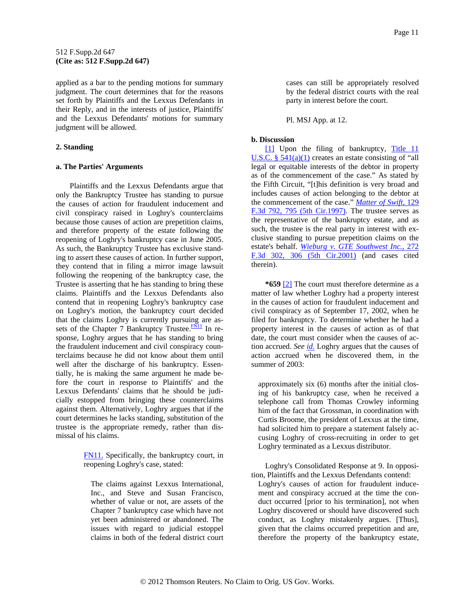<span id="page-10-0"></span>applied as a bar to the pending motions for summary judgment. The court determines that for the reasons set forth by Plaintiffs and the Lexxus Defendants in their Reply, and in the interests of justice, Plaintiffs' and the Lexxus Defendants' motions for summary judgment will be allowed.

### **2. Standing**

#### **a. The Parties' Arguments**

Plaintiffs and the Lexxus Defendants argue that only the Bankruptcy Trustee has standing to pursue the causes of action for fraudulent inducement and civil conspiracy raised in Loghry's counterclaims because those causes of action are prepetition claims, and therefore property of the estate following the reopening of Loghry's bankruptcy case in June 2005. As such, the Bankruptcy Trustee has exclusive standing to assert these causes of action. In further support, they contend that in filing a mirror image lawsuit following the reopening of the bankruptcy case, the Trustee is asserting that he has standing to bring these claims. Plaintiffs and the Lexxus Defendants also contend that in reopening Loghry's bankruptcy case on Loghry's motion, the bankruptcy court decided that the claims Loghry is currently pursuing are assets of the Chapter 7 Bankruptcy Trustee. $\frac{FN11}{FN11}$  In response, Loghry argues that he has standing to bring the fraudulent inducement and civil conspiracy counterclaims because he did not know about them until well after the discharge of his bankruptcy. Essentially, he is making the same argument he made before the court in response to Plaintiffs' and the Lexxus Defendants' claims that he should be judicially estopped from bringing these counterclaims against them. Alternatively, Loghry argues that if the court determines he lacks standing, substitution of the trustee is the appropriate remedy, rather than dismissal of his claims.

> [FN11.](#page-10-0) Specifically, the bankruptcy court, in reopening Loghry's case, stated:

The claims against Lexxus International, Inc., and Steve and Susan Francisco, whether of value or not, are assets of the Chapter 7 bankruptcy case which have not yet been administered or abandoned. The issues with regard to judicial estoppel claims in both of the federal district court cases can still be appropriately resolved by the federal district courts with the real party in interest before the court.

Pl. MSJ App. at 12.

# **b. Discussion**

[\[1\]](#page-0-0) Upon the filing of bankruptcy, Title 11 U.S.C.  $\S$  541(a)(1) creates an estate consisting of "all legal or equitable interests of the debtor in property as of the commencement of the case." As stated by the Fifth Circuit, "[t]his definition is very broad and includes causes of action belonging to the debtor at the commencement of the case." *[Matter of Swift,](http://www.westlaw.com/Find/Default.wl?rs=dfa1.0&vr=2.0&DB=506&FindType=Y&ReferencePositionType=S&SerialNum=1997229671&ReferencePosition=795)* [129](http://www.westlaw.com/Find/Default.wl?rs=dfa1.0&vr=2.0&DB=506&FindType=Y&ReferencePositionType=S&SerialNum=1997229671&ReferencePosition=795)  [F.3d 792, 795 \(5th Cir.1997\).](http://www.westlaw.com/Find/Default.wl?rs=dfa1.0&vr=2.0&DB=506&FindType=Y&ReferencePositionType=S&SerialNum=1997229671&ReferencePosition=795) The trustee serves as the representative of the bankruptcy estate, and as such, the trustee is the real party in interest with exclusive standing to pursue prepetition claims on the estate's behalf. *[Wieburg v. GTE Southwest Inc.,](http://www.westlaw.com/Find/Default.wl?rs=dfa1.0&vr=2.0&DB=506&FindType=Y&ReferencePositionType=S&SerialNum=2001933694&ReferencePosition=306)* [272](http://www.westlaw.com/Find/Default.wl?rs=dfa1.0&vr=2.0&DB=506&FindType=Y&ReferencePositionType=S&SerialNum=2001933694&ReferencePosition=306)  [F.3d 302, 306 \(5th Cir.2001\)](http://www.westlaw.com/Find/Default.wl?rs=dfa1.0&vr=2.0&DB=506&FindType=Y&ReferencePositionType=S&SerialNum=2001933694&ReferencePosition=306) (and cases cited therein).

**\*659** [\[2\]](#page-0-0) The court must therefore determine as a matter of law whether Loghry had a property interest in the causes of action for fraudulent inducement and civil conspiracy as of September 17, 2002, when he filed for bankruptcy. To determine whether he had a property interest in the causes of action as of that date, the court must consider when the causes of action accrued. *See [id.](http://www.westlaw.com/Find/Default.wl?rs=dfa1.0&vr=2.0&FindType=Y&SerialNum=2001933694)* Loghry argues that the causes of action accrued when he discovered them, in the summer of 2003:

approximately six (6) months after the initial closing of his bankruptcy case, when he received a telephone call from Thomas Crowley informing him of the fact that Grossman, in coordination with Curtis Broome, the president of Lexxus at the time, had solicited him to prepare a statement falsely accusing Loghry of cross-recruiting in order to get Loghry terminated as a Lexxus distributor.

Loghry's Consolidated Response at 9. In opposition, Plaintiffs and the Lexxus Defendants contend:

Loghry's causes of action for fraudulent inducement and conspiracy accrued at the time the conduct occurred [prior to his termination], not when Loghry discovered or should have discovered such conduct, as Loghry mistakenly argues. [Thus], given that the claims occurred prepetition and are, therefore the property of the bankruptcy estate,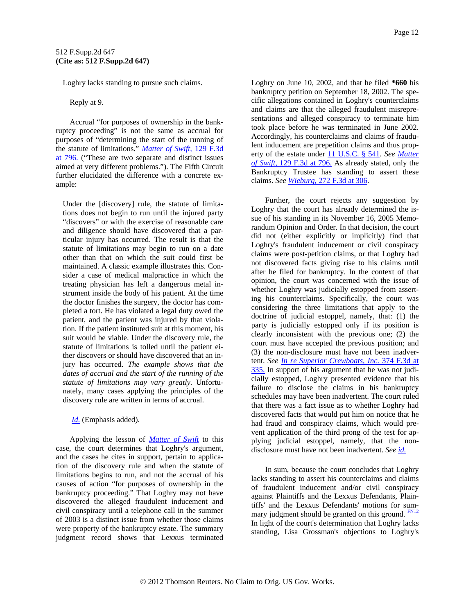<span id="page-11-0"></span>Loghry lacks standing to pursue such claims.

Reply at 9.

Accrual "for purposes of ownership in the bankruptcy proceeding" is not the same as accrual for purposes of "determining the start of the running of the statute of limitations." *[Matter of Swift,](http://www.westlaw.com/Find/Default.wl?rs=dfa1.0&vr=2.0&DB=506&FindType=Y&ReferencePositionType=S&SerialNum=1997229671&ReferencePosition=796)* [129 F.3d](http://www.westlaw.com/Find/Default.wl?rs=dfa1.0&vr=2.0&DB=506&FindType=Y&ReferencePositionType=S&SerialNum=1997229671&ReferencePosition=796)  [at 796.](http://www.westlaw.com/Find/Default.wl?rs=dfa1.0&vr=2.0&DB=506&FindType=Y&ReferencePositionType=S&SerialNum=1997229671&ReferencePosition=796) ("These are two separate and distinct issues aimed at very different problems."). The Fifth Circuit further elucidated the difference with a concrete example:

Under the [discovery] rule, the statute of limitations does not begin to run until the injured party "discovers" or with the exercise of reasonable care and diligence should have discovered that a particular injury has occurred. The result is that the statute of limitations may begin to run on a date other than that on which the suit could first be maintained. A classic example illustrates this. Consider a case of medical malpractice in which the treating physician has left a dangerous metal instrument inside the body of his patient. At the time the doctor finishes the surgery, the doctor has completed a tort. He has violated a legal duty owed the patient, and the patient was injured by that violation. If the patient instituted suit at this moment, his suit would be viable. Under the discovery rule, the statute of limitations is tolled until the patient either discovers or should have discovered that an injury has occurred. *The example shows that the dates of accrual and the start of the running of the statute of limitations may vary greatly.* Unfortunately, many cases applying the principles of the discovery rule are written in terms of accrual.

*[Id.](http://www.westlaw.com/Find/Default.wl?rs=dfa1.0&vr=2.0&FindType=Y&SerialNum=1997229671)* (Emphasis added).

Applying the lesson of *[Matter of Swift](http://www.westlaw.com/Find/Default.wl?rs=dfa1.0&vr=2.0&FindType=Y&SerialNum=1997229671)* to this case, the court determines that Loghry's argument, and the cases he cites in support, pertain to application of the discovery rule and when the statute of limitations begins to run, and not the accrual of his causes of action "for purposes of ownership in the bankruptcy proceeding." That Loghry may not have discovered the alleged fraudulent inducement and civil conspiracy until a telephone call in the summer of 2003 is a distinct issue from whether those claims were property of the bankruptcy estate. The summary judgment record shows that Lexxus terminated Loghry on June 10, 2002, and that he filed **\*660** his bankruptcy petition on September 18, 2002. The specific allegations contained in Loghry's counterclaims and claims are that the alleged fraudulent misrepresentations and alleged conspiracy to terminate him took place before he was terminated in June 2002. Accordingly, his counterclaims and claims of fraudulent inducement are prepetition claims and thus property of the estate under [11 U.S.C. § 541.](http://www.westlaw.com/Find/Default.wl?rs=dfa1.0&vr=2.0&DB=1000546&DocName=11USCAS541&FindType=L) *See [Matter](http://www.westlaw.com/Find/Default.wl?rs=dfa1.0&vr=2.0&DB=506&FindType=Y&ReferencePositionType=S&SerialNum=1997229671&ReferencePosition=796)  [of Swift,](http://www.westlaw.com/Find/Default.wl?rs=dfa1.0&vr=2.0&DB=506&FindType=Y&ReferencePositionType=S&SerialNum=1997229671&ReferencePosition=796)* [129 F.3d at 796.](http://www.westlaw.com/Find/Default.wl?rs=dfa1.0&vr=2.0&DB=506&FindType=Y&ReferencePositionType=S&SerialNum=1997229671&ReferencePosition=796) As already stated, only the Bankruptcy Trustee has standing to assert these claims. *See [Wieburg,](http://www.westlaw.com/Find/Default.wl?rs=dfa1.0&vr=2.0&DB=506&FindType=Y&ReferencePositionType=S&SerialNum=2001933694&ReferencePosition=306)* [272 F.3d at 306.](http://www.westlaw.com/Find/Default.wl?rs=dfa1.0&vr=2.0&DB=506&FindType=Y&ReferencePositionType=S&SerialNum=2001933694&ReferencePosition=306)

Further, the court rejects any suggestion by Loghry that the court has already determined the issue of his standing in its November 16, 2005 Memorandum Opinion and Order. In that decision, the court did not (either explicitly or implicitly) find that Loghry's fraudulent inducement or civil conspiracy claims were post-petition claims, or that Loghry had not discovered facts giving rise to his claims until after he filed for bankruptcy. In the context of that opinion, the court was concerned with the issue of whether Loghry was judicially estopped from asserting his counterclaims. Specifically, the court was considering the three limitations that apply to the doctrine of judicial estoppel, namely, that: (1) the party is judicially estopped only if its position is clearly inconsistent with the previous one; (2) the court must have accepted the previous position; and (3) the non-disclosure must have not been inadvertent. *See [In re Superior Crewboats, Inc.](http://www.westlaw.com/Find/Default.wl?rs=dfa1.0&vr=2.0&DB=506&FindType=Y&ReferencePositionType=S&SerialNum=2004611738&ReferencePosition=335)* [374 F.3d at](http://www.westlaw.com/Find/Default.wl?rs=dfa1.0&vr=2.0&DB=506&FindType=Y&ReferencePositionType=S&SerialNum=2004611738&ReferencePosition=335)  [335.](http://www.westlaw.com/Find/Default.wl?rs=dfa1.0&vr=2.0&DB=506&FindType=Y&ReferencePositionType=S&SerialNum=2004611738&ReferencePosition=335) In support of his argument that he was not judicially estopped, Loghry presented evidence that his failure to disclose the claims in his bankruptcy schedules may have been inadvertent. The court ruled that there was a fact issue as to whether Loghry had discovered facts that would put him on notice that he had fraud and conspiracy claims, which would prevent application of the third prong of the test for applying judicial estoppel, namely, that the nondisclosure must have not been inadvertent. *See [id.](http://www.westlaw.com/Find/Default.wl?rs=dfa1.0&vr=2.0&FindType=Y&SerialNum=2004611738)*

In sum, because the court concludes that Loghry lacks standing to assert his counterclaims and claims of fraudulent inducement and/or civil conspiracy against Plaintiffs and the Lexxus Defendants, Plaintiffs' and the Lexxus Defendants' motions for summary judgment should be granted on this ground. **[FN12](#page-12-0)** In light of the court's determination that Loghry lacks standing, Lisa Grossman's objections to Loghry's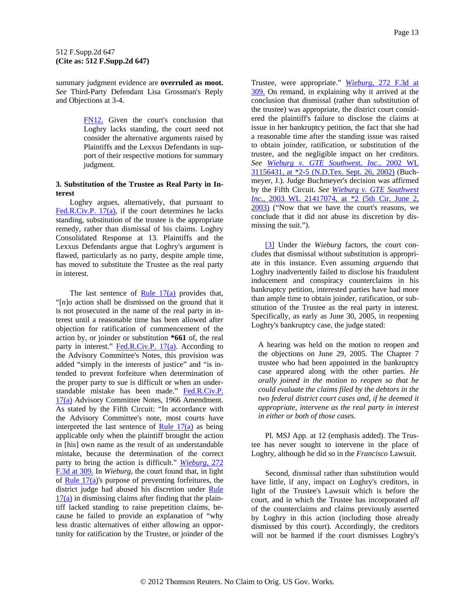<span id="page-12-0"></span>summary judgment evidence are **overruled as moot.** *See* Third-Party Defendant Lisa Grossman's Reply and Objections at 3-4.

> [FN12.](#page-11-0) Given the court's conclusion that Loghry lacks standing, the court need not consider the alternative arguments raised by Plaintiffs and the Lexxus Defendants in support of their respective motions for summary judgment.

### **3. Substitution of the Trustee as Real Party in Interest**

Loghry argues, alternatively, that pursuant to [Fed.R.Civ.P. 17\(a\),](http://www.westlaw.com/Find/Default.wl?rs=dfa1.0&vr=2.0&DB=1004365&DocName=USFRCPR17&FindType=L) if the court determines he lacks standing, substitution of the trustee is the appropriate remedy, rather than dismissal of his claims. Loghry Consolidated Response at 13. Plaintiffs and the Lexxus Defendants argue that Loghry's argument is flawed, particularly as no party, despite ample time, has moved to substitute the Trustee as the real party in interest.

The last sentence of  $Rule 17(a)$  provides that, "[n]o action shall be dismissed on the ground that it is not prosecuted in the name of the real party in interest until a reasonable time has been allowed after objection for ratification of commencement of the action by, or joinder or substitution **\*661** of, the real party in interest."  $Fed.R.Civ.P. 17(a). According to$ </u> the Advisory Committee's Notes, this provision was added "simply in the interests of justice" and "is intended to prevent forfeiture when determination of the proper party to sue is difficult or when an understandable mistake has been made." [Fed.R.Civ.P.](http://www.westlaw.com/Find/Default.wl?rs=dfa1.0&vr=2.0&DB=1004365&DocName=USFRCPR17&FindType=L)  [17\(a\)](http://www.westlaw.com/Find/Default.wl?rs=dfa1.0&vr=2.0&DB=1004365&DocName=USFRCPR17&FindType=L) Advisory Committee Notes, 1966 Amendment. As stated by the Fifth Circuit: "In accordance with the Advisory Committee's note, most courts have interpreted the last sentence of Rule  $17(a)$  as being applicable only when the plaintiff brought the action in [his] own name as the result of an understandable mistake, because the determination of the correct party to bring the action is difficult." *[Wieburg,](http://www.westlaw.com/Find/Default.wl?rs=dfa1.0&vr=2.0&DB=506&FindType=Y&ReferencePositionType=S&SerialNum=2001933694&ReferencePosition=309)* [272](http://www.westlaw.com/Find/Default.wl?rs=dfa1.0&vr=2.0&DB=506&FindType=Y&ReferencePositionType=S&SerialNum=2001933694&ReferencePosition=309)  [F.3d at 309.](http://www.westlaw.com/Find/Default.wl?rs=dfa1.0&vr=2.0&DB=506&FindType=Y&ReferencePositionType=S&SerialNum=2001933694&ReferencePosition=309) In *Wieburg*, the court found that, in light of Rule  $17(a)$ 's purpose of preventing forfeitures, the district judge had abused his discretion under [Rule](http://www.westlaw.com/Find/Default.wl?rs=dfa1.0&vr=2.0&DB=1004365&DocName=USFRCPR17&FindType=L)   $17(a)$  in dismissing claims after finding that the plaintiff lacked standing to raise prepetition claims, because he failed to provide an explanation of "why less drastic alternatives of either allowing an opportunity for ratification by the Trustee, or joinder of the Trustee, were appropriate." *[Wieburg,](http://www.westlaw.com/Find/Default.wl?rs=dfa1.0&vr=2.0&DB=506&FindType=Y&ReferencePositionType=S&SerialNum=2001933694&ReferencePosition=309)* [272 F.3d at](http://www.westlaw.com/Find/Default.wl?rs=dfa1.0&vr=2.0&DB=506&FindType=Y&ReferencePositionType=S&SerialNum=2001933694&ReferencePosition=309)  [309.](http://www.westlaw.com/Find/Default.wl?rs=dfa1.0&vr=2.0&DB=506&FindType=Y&ReferencePositionType=S&SerialNum=2001933694&ReferencePosition=309) On remand, in explaining why it arrived at the conclusion that dismissal (rather than substitution of the trustee) was appropriate, the district court considered the plaintiff's failure to disclose the claims at issue in her bankruptcy petition, the fact that she had a reasonable time after the standing issue was raised to obtain joinder, ratification, or substitution of the trustee, and the negligible impact on her creditors. *See [Wieburg v. GTE Southwest, Inc.,](http://www.westlaw.com/Find/Default.wl?rs=dfa1.0&vr=2.0&DB=0000999&FindType=Y&SerialNum=2002615746)* [2002 WL](http://www.westlaw.com/Find/Default.wl?rs=dfa1.0&vr=2.0&DB=0000999&FindType=Y&SerialNum=2002615746)  [31156431, at \\*2-5 \(N.D.Tex. Sept. 26, 2002\)](http://www.westlaw.com/Find/Default.wl?rs=dfa1.0&vr=2.0&DB=0000999&FindType=Y&SerialNum=2002615746) (Buchmeyer, J.). Judge Buchmeyer's decision was affirmed by the Fifth Circuit. *See [Wieburg v. GTE Southwest](http://www.westlaw.com/Find/Default.wl?rs=dfa1.0&vr=2.0&DB=0000999&FindType=Y&SerialNum=2003436588)  [Inc.,](http://www.westlaw.com/Find/Default.wl?rs=dfa1.0&vr=2.0&DB=0000999&FindType=Y&SerialNum=2003436588)* [2003 WL 21417074, at \\*2 \(5th Cir. June 2,](http://www.westlaw.com/Find/Default.wl?rs=dfa1.0&vr=2.0&DB=0000999&FindType=Y&SerialNum=2003436588)  [2003\)](http://www.westlaw.com/Find/Default.wl?rs=dfa1.0&vr=2.0&DB=0000999&FindType=Y&SerialNum=2003436588) ("Now that we have the court's reasons, we conclude that it did not abuse its discretion by dismissing the suit.").

[\[3\]](#page-1-0) Under the *Wieburg* factors, the court concludes that dismissal without substitution is appropriate in this instance. Even assuming *arguendo* that Loghry inadvertently failed to disclose his fraudulent inducement and conspiracy counterclaims in his bankruptcy petition, interested parties have had more than ample time to obtain joinder, ratification, or substitution of the Trustee as the real party in interest. Specifically, as early as June 30, 2005, in reopening Loghry's bankruptcy case, the judge stated:

A hearing was held on the motion to reopen and the objections on June 29, 2005. The Chapter 7 trustee who had been appointed in the bankruptcy case appeared along with the other parties. *He orally joined in the motion to reopen so that he could evaluate the claims filed by the debtors in the two federal district court cases and, if he deemed it appropriate, intervene as the real party in interest in either or both of those cases.*

Pl. MSJ App. at 12 (emphasis added). The Trustee has never sought to intervene in the place of Loghry, although he did so in the *Francisco* Lawsuit.

Second, dismissal rather than substitution would have little, if any, impact on Loghry's creditors, in light of the Trustee's Lawsuit which is before the court, and in which the Trustee has incorporated *all* of the counterclaims and claims previously asserted by Loghry in this action (including those already dismissed by this court). Accordingly, the creditors will not be harmed if the court dismisses Loghry's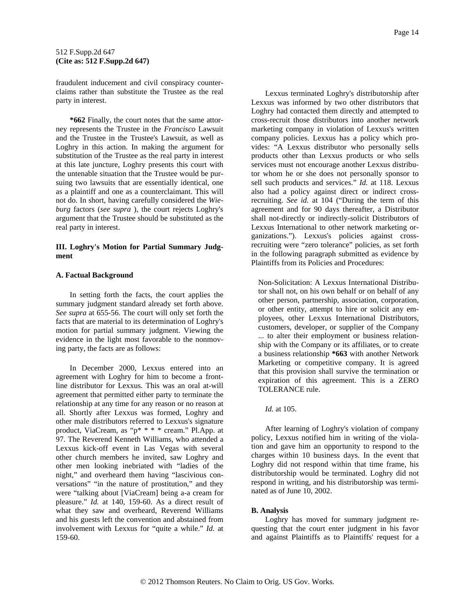fraudulent inducement and civil conspiracy counterclaims rather than substitute the Trustee as the real party in interest.

**\*662** Finally, the court notes that the same attorney represents the Trustee in the *Francisco* Lawsuit and the Trustee in the Trustee's Lawsuit, as well as Loghry in this action. In making the argument for substitution of the Trustee as the real party in interest at this late juncture, Loghry presents this court with the untenable situation that the Trustee would be pursuing two lawsuits that are essentially identical, one as a plaintiff and one as a counterclaimant. This will not do. In short, having carefully considered the *Wieburg* factors (*see supra* ), the court rejects Loghry's argument that the Trustee should be substituted as the real party in interest.

# **III. Loghry's Motion for Partial Summary Judgment**

# **A. Factual Background**

In setting forth the facts, the court applies the summary judgment standard already set forth above. *See supra* at 655-56. The court will only set forth the facts that are material to its determination of Loghry's motion for partial summary judgment. Viewing the evidence in the light most favorable to the nonmoving party, the facts are as follows:

In December 2000, Lexxus entered into an agreement with Loghry for him to become a frontline distributor for Lexxus. This was an oral at-will agreement that permitted either party to terminate the relationship at any time for any reason or no reason at all. Shortly after Lexxus was formed, Loghry and other male distributors referred to Lexxus's signature product, ViaCream, as "p\* \* \* \* cream." Pl.App. at 97. The Reverend Kenneth Williams, who attended a Lexxus kick-off event in Las Vegas with several other church members he invited, saw Loghry and other men looking inebriated with "ladies of the night," and overheard them having "lascivious conversations" "in the nature of prostitution," and they were "talking about [ViaCream] being a-a cream for pleasure." *Id.* at 140, 159-60. As a direct result of what they saw and overheard, Reverend Williams and his guests left the convention and abstained from involvement with Lexxus for "quite a while." *Id.* at 159-60.

Lexxus terminated Loghry's distributorship after Lexxus was informed by two other distributors that Loghry had contacted them directly and attempted to cross-recruit those distributors into another network marketing company in violation of Lexxus's written company policies. Lexxus has a policy which provides: "A Lexxus distributor who personally sells products other than Lexxus products or who sells services must not encourage another Lexxus distributor whom he or she does not personally sponsor to sell such products and services." *Id.* at 118. Lexxus also had a policy against direct or indirect crossrecruiting. *See id.* at 104 ("During the term of this agreement and for 90 days thereafter, a Distributor shall not-directly or indirectly-solicit Distributors of Lexxus International to other network marketing organizations."). Lexxus's policies against crossrecruiting were "zero tolerance" policies, as set forth in the following paragraph submitted as evidence by Plaintiffs from its Policies and Procedures:

Non-Solicitation: A Lexxus International Distributor shall not, on his own behalf or on behalf of any other person, partnership, association, corporation, or other entity, attempt to hire or solicit any employees, other Lexxus International Distributors, customers, developer, or supplier of the Company ... to alter their employment or business relationship with the Company or its affiliates, or to create a business relationship **\*663** with another Network Marketing or competitive company. It is agreed that this provision shall survive the termination or expiration of this agreement. This is a ZERO TOLERANCE rule.

*Id.* at 105.

After learning of Loghry's violation of company policy, Lexxus notified him in writing of the violation and gave him an opportunity to respond to the charges within 10 business days. In the event that Loghry did not respond within that time frame, his distributorship would be terminated. Loghry did not respond in writing, and his distributorship was terminated as of June 10, 2002.

# **B. Analysis**

Loghry has moved for summary judgment requesting that the court enter judgment in his favor and against Plaintiffs as to Plaintiffs' request for a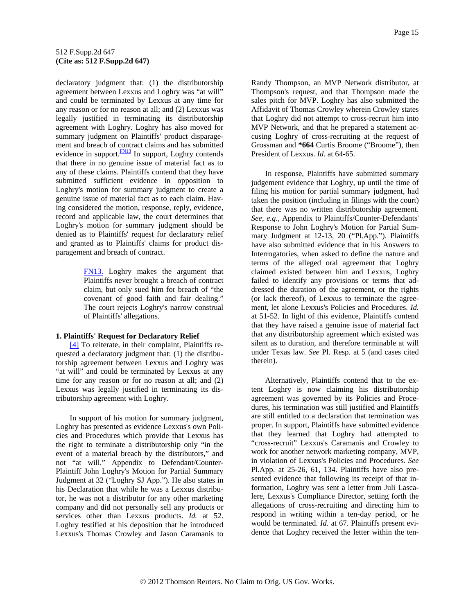<span id="page-14-0"></span>declaratory judgment that: (1) the distributorship agreement between Lexxus and Loghry was "at will" and could be terminated by Lexxus at any time for any reason or for no reason at all; and (2) Lexxus was legally justified in terminating its distributorship agreement with Loghry. Loghry has also moved for summary judgment on Plaintiffs' product disparagement and breach of contract claims and has submitted evidence in support. $\frac{FN13}{FN13}$  In support, Loghry contends that there in no genuine issue of material fact as to any of these claims. Plaintiffs contend that they have submitted sufficient evidence in opposition to Loghry's motion for summary judgment to create a genuine issue of material fact as to each claim. Having considered the motion, response, reply, evidence, record and applicable law, the court determines that Loghry's motion for summary judgment should be denied as to Plaintiffs' request for declaratory relief and granted as to Plaintiffs' claims for product disparagement and breach of contract.

> [FN13.](#page-14-0) Loghry makes the argument that Plaintiffs never brought a breach of contract claim, but only sued him for breach of "the covenant of good faith and fair dealing." The court rejects Loghry's narrow construal of Plaintiffs' allegations.

#### **1. Plaintiffs' Request for Declaratory Relief**

[\[4\]](#page-1-0) To reiterate, in their complaint, Plaintiffs requested a declaratory judgment that: (1) the distributorship agreement between Lexxus and Loghry was "at will" and could be terminated by Lexxus at any time for any reason or for no reason at all; and (2) Lexxus was legally justified in terminating its distributorship agreement with Loghry.

In support of his motion for summary judgment, Loghry has presented as evidence Lexxus's own Policies and Procedures which provide that Lexxus has the right to terminate a distributorship only "in the event of a material breach by the distributors," and not "at will." Appendix to Defendant/Counter-Plaintiff John Loghry's Motion for Partial Summary Judgment at 32 ("Loghry SJ App."). He also states in his Declaration that while he was a Lexxus distributor, he was not a distributor for any other marketing company and did not personally sell any products or services other than Lexxus products. *Id.* at 52. Loghry testified at his deposition that he introduced Lexxus's Thomas Crowley and Jason Caramanis to

Randy Thompson, an MVP Network distributor, at Thompson's request, and that Thompson made the sales pitch for MVP. Loghry has also submitted the Affidavit of Thomas Crowley wherein Crowley states that Loghry did not attempt to cross-recruit him into MVP Network, and that he prepared a statement accusing Loghry of cross-recruiting at the request of Grossman and **\*664** Curtis Broome ("Broome"), then President of Lexxus. *Id.* at 64-65.

In response, Plaintiffs have submitted summary judgement evidence that Loghry, up until the time of filing his motion for partial summary judgment, had taken the position (including in filings with the court) that there was no written distributorship agreement. *See, e.g.,* Appendix to Plaintiffs/Counter-Defendants' Response to John Loghry's Motion for Partial Summary Judgment at 12-13, 20 ("Pl.App."). Plaintiffs have also submitted evidence that in his Answers to Interrogatories, when asked to define the nature and terms of the alleged oral agreement that Loghry claimed existed between him and Lexxus, Loghry failed to identify any provisions or terms that addressed the duration of the agreement, or the rights (or lack thereof), of Lexxus to terminate the agreement, let alone Lexxus's Policies and Procedures. *Id.* at 51-52. In light of this evidence, Plaintiffs contend that they have raised a genuine issue of material fact that any distributorship agreement which existed was silent as to duration, and therefore terminable at will under Texas law. *See* Pl. Resp. at 5 (and cases cited therein).

Alternatively, Plaintiffs contend that to the extent Loghry is now claiming his distributorship agreement was governed by its Policies and Procedures, his termination was still justified and Plaintiffs are still entitled to a declaration that termination was proper. In support, Plaintiffs have submitted evidence that they learned that Loghry had attempted to "cross-recruit" Lexxus's Caramanis and Crowley to work for another network marketing company, MVP, in violation of Lexxus's Policies and Procedures. *See* Pl.App. at 25-26, 61, 134. Plaintiffs have also presented evidence that following its receipt of that information, Loghry was sent a letter from Juli Lascalere, Lexxus's Compliance Director, setting forth the allegations of cross-recruiting and directing him to respond in writing within a ten-day period, or he would be terminated. *Id.* at 67. Plaintiffs present evidence that Loghry received the letter within the ten-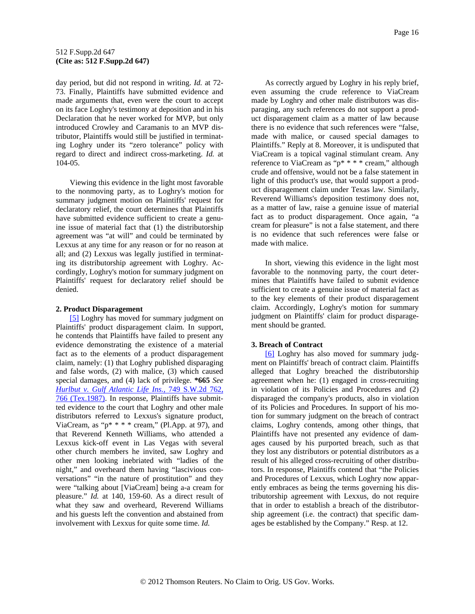<span id="page-15-0"></span>day period, but did not respond in writing. *Id.* at 72- 73. Finally, Plaintiffs have submitted evidence and made arguments that, even were the court to accept on its face Loghry's testimony at deposition and in his Declaration that he never worked for MVP, but only introduced Crowley and Caramanis to an MVP distributor, Plaintiffs would still be justified in terminating Loghry under its "zero tolerance" policy with regard to direct and indirect cross-marketing. *Id.* at 104-05.

Viewing this evidence in the light most favorable to the nonmoving party, as to Loghry's motion for summary judgment motion on Plaintiffs' request for declaratory relief, the court determines that Plaintiffs have submitted evidence sufficient to create a genuine issue of material fact that (1) the distributorship agreement was "at will" and could be terminated by Lexxus at any time for any reason or for no reason at all; and (2) Lexxus was legally justified in terminating its distributorship agreement with Loghry. Accordingly, Loghry's motion for summary judgment on Plaintiffs' request for declaratory relief should be denied.

#### **2. Product Disparagement**

[\[5\]](#page-1-0) Loghry has moved for summary judgment on Plaintiffs' product disparagement claim. In support, he contends that Plaintiffs have failed to present any evidence demonstrating the existence of a material fact as to the elements of a product disparagement claim, namely: (1) that Loghry published disparaging and false words, (2) with malice, (3) which caused special damages, and (4) lack of privilege. **\*665** *See [Hurlbut v. Gulf Atlantic Life Ins.,](http://www.westlaw.com/Find/Default.wl?rs=dfa1.0&vr=2.0&DB=713&FindType=Y&ReferencePositionType=S&SerialNum=1987156419&ReferencePosition=766)* [749 S.W.2d 762,](http://www.westlaw.com/Find/Default.wl?rs=dfa1.0&vr=2.0&DB=713&FindType=Y&ReferencePositionType=S&SerialNum=1987156419&ReferencePosition=766)  [766 \(Tex.1987\)](http://www.westlaw.com/Find/Default.wl?rs=dfa1.0&vr=2.0&DB=713&FindType=Y&ReferencePositionType=S&SerialNum=1987156419&ReferencePosition=766). In response, Plaintiffs have submitted evidence to the court that Loghry and other male distributors referred to Lexxus's signature product, ViaCream, as " $p^*$  \* \* \* cream," (Pl.App. at 97), and that Reverend Kenneth Williams, who attended a Lexxus kick-off event in Las Vegas with several other church members he invited, saw Loghry and other men looking inebriated with "ladies of the night," and overheard them having "lascivious conversations" "in the nature of prostitution" and they were "talking about [ViaCream] being a-a cream for pleasure." *Id.* at 140, 159-60. As a direct result of what they saw and overheard, Reverend Williams and his guests left the convention and abstained from involvement with Lexxus for quite some time. *Id.*

As correctly argued by Loghry in his reply brief, even assuming the crude reference to ViaCream made by Loghry and other male distributors was disparaging, any such references do not support a product disparagement claim as a matter of law because there is no evidence that such references were "false, made with malice, or caused special damages to Plaintiffs." Reply at 8. Moreover, it is undisputed that ViaCream is a topical vaginal stimulant cream. Any reference to ViaCream as "p\* \* \* \* cream," although crude and offensive, would not be a false statement in light of this product's use, that would support a product disparagement claim under Texas law. Similarly, Reverend Williams's deposition testimony does not, as a matter of law, raise a genuine issue of material fact as to product disparagement. Once again, "a cream for pleasure" is not a false statement, and there is no evidence that such references were false or made with malice.

In short, viewing this evidence in the light most favorable to the nonmoving party, the court determines that Plaintiffs have failed to submit evidence sufficient to create a genuine issue of material fact as to the key elements of their product disparagement claim. Accordingly, Loghry's motion for summary judgment on Plaintiffs' claim for product disparagement should be granted.

### **3. Breach of Contract**

[\[6\]](#page-1-0) Loghry has also moved for summary judgment on Plaintiffs' breach of contract claim. Plaintiffs alleged that Loghry breached the distributorship agreement when he: (1) engaged in cross-recruiting in violation of its Policies and Procedures and (2) disparaged the company's products, also in violation of its Policies and Procedures. In support of his motion for summary judgment on the breach of contract claims, Loghry contends, among other things, that Plaintiffs have not presented any evidence of damages caused by his purported breach, such as that they lost any distributors or potential distributors as a result of his alleged cross-recruiting of other distributors. In response, Plaintiffs contend that "the Policies and Procedures of Lexxus, which Loghry now apparently embraces as being the terms governing his distributorship agreement with Lexxus, do not require that in order to establish a breach of the distributorship agreement (i.e. the contract) that specific damages be established by the Company." Resp. at 12.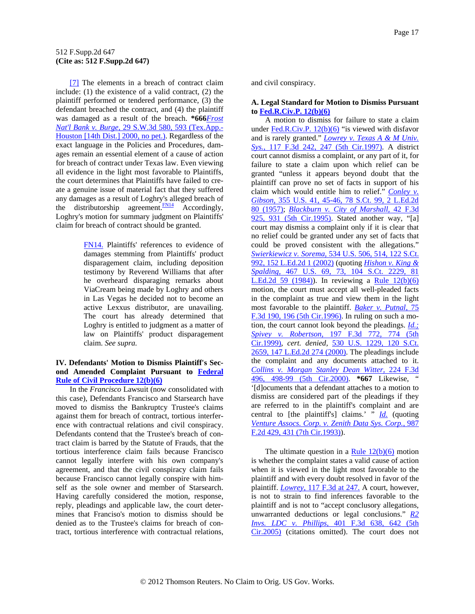<span id="page-16-0"></span>[\[7\]](#page-1-0) The elements in a breach of contract claim include: (1) the existence of a valid contract, (2) the plaintiff performed or tendered performance, (3) the defendant breached the contract, and (4) the plaintiff was damaged as a result of the breach. **\*666***[Frost](http://www.westlaw.com/Find/Default.wl?rs=dfa1.0&vr=2.0&DB=4644&FindType=Y&ReferencePositionType=S&SerialNum=2000479163&ReferencePosition=593)  [Nat'l Bank v. Burge,](http://www.westlaw.com/Find/Default.wl?rs=dfa1.0&vr=2.0&DB=4644&FindType=Y&ReferencePositionType=S&SerialNum=2000479163&ReferencePosition=593)* [29 S.W.3d 580, 593 \(Tex.App.-](http://www.westlaw.com/Find/Default.wl?rs=dfa1.0&vr=2.0&DB=4644&FindType=Y&ReferencePositionType=S&SerialNum=2000479163&ReferencePosition=593) [Houston \[14th Dist.\] 2000, no pet.\)](http://www.westlaw.com/Find/Default.wl?rs=dfa1.0&vr=2.0&DB=4644&FindType=Y&ReferencePositionType=S&SerialNum=2000479163&ReferencePosition=593). Regardless of the exact language in the Policies and Procedures, damages remain an essential element of a cause of action for breach of contract under Texas law. Even viewing all evidence in the light most favorable to Plaintiffs, the court determines that Plaintiffs have failed to create a genuine issue of material fact that they suffered any damages as a result of Loghry's alleged breach of the distributorship agreement. $\frac{FN14}{FN14}$  $\frac{FN14}{FN14}$  $\frac{FN14}{FN14}$  Accordingly, Loghry's motion for summary judgment on Plaintiffs' claim for breach of contract should be granted.

> [FN14.](#page-16-0) Plaintiffs' references to evidence of damages stemming from Plaintiffs' product disparagement claim, including deposition testimony by Reverend Williams that after he overheard disparaging remarks about ViaCream being made by Loghry and others in Las Vegas he decided not to become an active Lexxus distributor, are unavailing. The court has already determined that Loghry is entitled to judgment as a matter of law on Plaintiffs' product disparagement claim. *See supra.*

# **IV. Defendants' Motion to Dismiss Plaintiff's Second Amended Complaint Pursuant to [Federal](http://www.westlaw.com/Find/Default.wl?rs=dfa1.0&vr=2.0&DB=1004365&DocName=USFRCPR12&FindType=L)  [Rule of Civil Procedure 12\(b\)\(6\)](http://www.westlaw.com/Find/Default.wl?rs=dfa1.0&vr=2.0&DB=1004365&DocName=USFRCPR12&FindType=L)**

In the *Francisco* Lawsuit (now consolidated with this case), Defendants Francisco and Starsearch have moved to dismiss the Bankruptcy Trustee's claims against them for breach of contract, tortious interference with contractual relations and civil conspiracy. Defendants contend that the Trustee's breach of contract claim is barred by the Statute of Frauds, that the tortious interference claim fails because Francisco cannot legally interfere with his own company's agreement, and that the civil conspiracy claim fails because Francisco cannot legally conspire with himself as the sole owner and member of Starsearch. Having carefully considered the motion, response, reply, pleadings and applicable law, the court determines that Franciso's motion to dismiss should be denied as to the Trustee's claims for breach of contract, tortious interference with contractual relations, and civil conspiracy.

# **A. Legal Standard for Motion to Dismiss Pursuant to [Fed.R.Civ.P. 12\(b\)\(6\)](http://www.westlaw.com/Find/Default.wl?rs=dfa1.0&vr=2.0&DB=1004365&DocName=USFRCPR12&FindType=L)**

A motion to dismiss for failure to state a claim under [Fed.R.Civ.P. 12\(b\)\(6\)](http://www.westlaw.com/Find/Default.wl?rs=dfa1.0&vr=2.0&DB=1004365&DocName=USFRCPR12&FindType=L) "is viewed with disfavor and is rarely granted." *[Lowrey v. Texas A & M Univ.](http://www.westlaw.com/Find/Default.wl?rs=dfa1.0&vr=2.0&DB=506&FindType=Y&ReferencePositionType=S&SerialNum=1997143228&ReferencePosition=247)  [Sys.,](http://www.westlaw.com/Find/Default.wl?rs=dfa1.0&vr=2.0&DB=506&FindType=Y&ReferencePositionType=S&SerialNum=1997143228&ReferencePosition=247)* [117 F.3d 242, 247 \(5th Cir.1997\).](http://www.westlaw.com/Find/Default.wl?rs=dfa1.0&vr=2.0&DB=506&FindType=Y&ReferencePositionType=S&SerialNum=1997143228&ReferencePosition=247) A district court cannot dismiss a complaint, or any part of it, for failure to state a claim upon which relief can be granted "unless it appears beyond doubt that the plaintiff can prove no set of facts in support of his claim which would entitle him to relief." *[Conley v.](http://www.westlaw.com/Find/Default.wl?rs=dfa1.0&vr=2.0&DB=708&FindType=Y&SerialNum=1957120403)  [Gibson,](http://www.westlaw.com/Find/Default.wl?rs=dfa1.0&vr=2.0&DB=708&FindType=Y&SerialNum=1957120403)* [355 U.S. 41, 45-46, 78 S.Ct. 99, 2 L.Ed.2d](http://www.westlaw.com/Find/Default.wl?rs=dfa1.0&vr=2.0&DB=708&FindType=Y&SerialNum=1957120403)  [80 \(1957\)](http://www.westlaw.com/Find/Default.wl?rs=dfa1.0&vr=2.0&DB=708&FindType=Y&SerialNum=1957120403); *[Blackburn v. City of Marshall,](http://www.westlaw.com/Find/Default.wl?rs=dfa1.0&vr=2.0&DB=506&FindType=Y&ReferencePositionType=S&SerialNum=1995028148&ReferencePosition=931)* [42 F.3d](http://www.westlaw.com/Find/Default.wl?rs=dfa1.0&vr=2.0&DB=506&FindType=Y&ReferencePositionType=S&SerialNum=1995028148&ReferencePosition=931)  [925, 931 \(5th Cir.1995\).](http://www.westlaw.com/Find/Default.wl?rs=dfa1.0&vr=2.0&DB=506&FindType=Y&ReferencePositionType=S&SerialNum=1995028148&ReferencePosition=931) Stated another way, "[a] court may dismiss a complaint only if it is clear that no relief could be granted under any set of facts that could be proved consistent with the allegations." *[Swierkiewicz v. Sorema,](http://www.westlaw.com/Find/Default.wl?rs=dfa1.0&vr=2.0&DB=708&FindType=Y&SerialNum=2002142931)* [534 U.S. 506, 514, 122 S.Ct.](http://www.westlaw.com/Find/Default.wl?rs=dfa1.0&vr=2.0&DB=708&FindType=Y&SerialNum=2002142931)  [992, 152 L.Ed.2d 1 \(2002\)](http://www.westlaw.com/Find/Default.wl?rs=dfa1.0&vr=2.0&DB=708&FindType=Y&SerialNum=2002142931) (quoting *[Hishon v. King &](http://www.westlaw.com/Find/Default.wl?rs=dfa1.0&vr=2.0&DB=708&FindType=Y&SerialNum=1984124905)  [Spalding,](http://www.westlaw.com/Find/Default.wl?rs=dfa1.0&vr=2.0&DB=708&FindType=Y&SerialNum=1984124905)* [467 U.S. 69, 73, 104 S.Ct. 2229, 81](http://www.westlaw.com/Find/Default.wl?rs=dfa1.0&vr=2.0&DB=708&FindType=Y&SerialNum=1984124905)  [L.Ed.2d 59 \(1984\)](http://www.westlaw.com/Find/Default.wl?rs=dfa1.0&vr=2.0&DB=708&FindType=Y&SerialNum=1984124905)). In reviewing a [Rule 12\(b\)\(6\)](http://www.westlaw.com/Find/Default.wl?rs=dfa1.0&vr=2.0&DB=1004365&DocName=USFRCPR12&FindType=L) motion, the court must accept all well-pleaded facts in the complaint as true and view them in the light most favorable to the plaintiff. *[Baker v. Putnal,](http://www.westlaw.com/Find/Default.wl?rs=dfa1.0&vr=2.0&DB=506&FindType=Y&ReferencePositionType=S&SerialNum=1996042074&ReferencePosition=196)* [75](http://www.westlaw.com/Find/Default.wl?rs=dfa1.0&vr=2.0&DB=506&FindType=Y&ReferencePositionType=S&SerialNum=1996042074&ReferencePosition=196)  [F.3d 190, 196 \(5th Cir.1996\)](http://www.westlaw.com/Find/Default.wl?rs=dfa1.0&vr=2.0&DB=506&FindType=Y&ReferencePositionType=S&SerialNum=1996042074&ReferencePosition=196). In ruling on such a motion, the court cannot look beyond the pleadings. *[Id.;](http://www.westlaw.com/Find/Default.wl?rs=dfa1.0&vr=2.0&FindType=Y&SerialNum=1996042074) [Spivey v. Robertson,](http://www.westlaw.com/Find/Default.wl?rs=dfa1.0&vr=2.0&DB=506&FindType=Y&ReferencePositionType=S&SerialNum=1999268701&ReferencePosition=774)* [197 F.3d 772, 774 \(5th](http://www.westlaw.com/Find/Default.wl?rs=dfa1.0&vr=2.0&DB=506&FindType=Y&ReferencePositionType=S&SerialNum=1999268701&ReferencePosition=774)  [Cir.1999\),](http://www.westlaw.com/Find/Default.wl?rs=dfa1.0&vr=2.0&DB=506&FindType=Y&ReferencePositionType=S&SerialNum=1999268701&ReferencePosition=774) *cert. denied,* [530 U.S. 1229, 120 S.Ct.](http://www.westlaw.com/Find/Default.wl?rs=dfa1.0&vr=2.0&DB=708&FindType=Y&SerialNum=2000107872)  [2659, 147 L.Ed.2d 274 \(2000\)](http://www.westlaw.com/Find/Default.wl?rs=dfa1.0&vr=2.0&DB=708&FindType=Y&SerialNum=2000107872). The pleadings include the complaint and any documents attached to it. *[Collins v. Morgan Stanley Dean Witter,](http://www.westlaw.com/Find/Default.wl?rs=dfa1.0&vr=2.0&DB=506&FindType=Y&ReferencePositionType=S&SerialNum=2000479258&ReferencePosition=498)* [224 F.3d](http://www.westlaw.com/Find/Default.wl?rs=dfa1.0&vr=2.0&DB=506&FindType=Y&ReferencePositionType=S&SerialNum=2000479258&ReferencePosition=498)  [496, 498-99 \(5th Cir.2000\)](http://www.westlaw.com/Find/Default.wl?rs=dfa1.0&vr=2.0&DB=506&FindType=Y&ReferencePositionType=S&SerialNum=2000479258&ReferencePosition=498). **\*667** Likewise, " '[d]ocuments that a defendant attaches to a motion to dismiss are considered part of the pleadings if they are referred to in the plaintiff's complaint and are central to [the plaintiff's] claims.'  $\frac{d}{dx}$  (quoting *[Venture Assocs. Corp. v. Zenith Data Sys. Corp.,](http://www.westlaw.com/Find/Default.wl?rs=dfa1.0&vr=2.0&DB=350&FindType=Y&ReferencePositionType=S&SerialNum=1993060271&ReferencePosition=431)* [987](http://www.westlaw.com/Find/Default.wl?rs=dfa1.0&vr=2.0&DB=350&FindType=Y&ReferencePositionType=S&SerialNum=1993060271&ReferencePosition=431)  [F.2d 429, 431 \(7th Cir.1993\)](http://www.westlaw.com/Find/Default.wl?rs=dfa1.0&vr=2.0&DB=350&FindType=Y&ReferencePositionType=S&SerialNum=1993060271&ReferencePosition=431)).

The ultimate question in a <u>Rule  $12(b)(6)$ </u> motion is whether the complaint states a valid cause of action when it is viewed in the light most favorable to the plaintiff and with every doubt resolved in favor of the plaintiff. *[Lowrey,](http://www.westlaw.com/Find/Default.wl?rs=dfa1.0&vr=2.0&DB=506&FindType=Y&ReferencePositionType=S&SerialNum=1997143228&ReferencePosition=247)* [117 F.3d at 247.](http://www.westlaw.com/Find/Default.wl?rs=dfa1.0&vr=2.0&DB=506&FindType=Y&ReferencePositionType=S&SerialNum=1997143228&ReferencePosition=247) A court, however, is not to strain to find inferences favorable to the plaintiff and is not to "accept conclusory allegations, unwarranted deductions or legal conclusions." *[R2](http://www.westlaw.com/Find/Default.wl?rs=dfa1.0&vr=2.0&DB=506&FindType=Y&ReferencePositionType=S&SerialNum=2006293889&ReferencePosition=642)  [Invs. LDC v. Phillips,](http://www.westlaw.com/Find/Default.wl?rs=dfa1.0&vr=2.0&DB=506&FindType=Y&ReferencePositionType=S&SerialNum=2006293889&ReferencePosition=642)* [401 F.3d 638, 642 \(5th](http://www.westlaw.com/Find/Default.wl?rs=dfa1.0&vr=2.0&DB=506&FindType=Y&ReferencePositionType=S&SerialNum=2006293889&ReferencePosition=642)  [Cir.2005\)](http://www.westlaw.com/Find/Default.wl?rs=dfa1.0&vr=2.0&DB=506&FindType=Y&ReferencePositionType=S&SerialNum=2006293889&ReferencePosition=642) (citations omitted). The court does not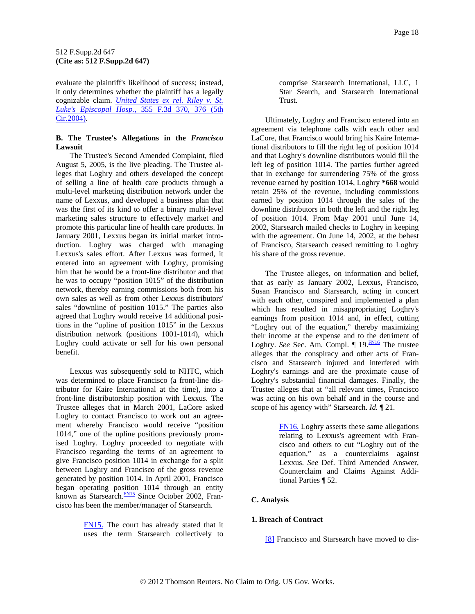<span id="page-17-0"></span>evaluate the plaintiff's likelihood of success; instead, it only determines whether the plaintiff has a legally cognizable claim. *[United States ex rel. Riley v. St.](http://www.westlaw.com/Find/Default.wl?rs=dfa1.0&vr=2.0&DB=506&FindType=Y&ReferencePositionType=S&SerialNum=2003936488&ReferencePosition=376)  [Luke's Episcopal Hosp.,](http://www.westlaw.com/Find/Default.wl?rs=dfa1.0&vr=2.0&DB=506&FindType=Y&ReferencePositionType=S&SerialNum=2003936488&ReferencePosition=376)* [355 F.3d 370, 376 \(5th](http://www.westlaw.com/Find/Default.wl?rs=dfa1.0&vr=2.0&DB=506&FindType=Y&ReferencePositionType=S&SerialNum=2003936488&ReferencePosition=376)  [Cir.2004\).](http://www.westlaw.com/Find/Default.wl?rs=dfa1.0&vr=2.0&DB=506&FindType=Y&ReferencePositionType=S&SerialNum=2003936488&ReferencePosition=376)

# **B. The Trustee's Allegations in the** *Francisco* **Lawsuit**

The Trustee's Second Amended Complaint, filed August 5, 2005, is the live pleading. The Trustee alleges that Loghry and others developed the concept of selling a line of health care products through a multi-level marketing distribution network under the name of Lexxus, and developed a business plan that was the first of its kind to offer a binary multi-level marketing sales structure to effectively market and promote this particular line of health care products. In January 2001, Lexxus began its initial market introduction. Loghry was charged with managing Lexxus's sales effort. After Lexxus was formed, it entered into an agreement with Loghry, promising him that he would be a front-line distributor and that he was to occupy "position 1015" of the distribution network, thereby earning commissions both from his own sales as well as from other Lexxus distributors' sales "downline of position 1015." The parties also agreed that Loghry would receive 14 additional positions in the "upline of position 1015" in the Lexxus distribution network (positions 1001-1014), which Loghry could activate or sell for his own personal benefit.

Lexxus was subsequently sold to NHTC, which was determined to place Francisco (a front-line distributor for Kaire International at the time), into a front-line distributorship position with Lexxus. The Trustee alleges that in March 2001, LaCore asked Loghry to contact Francisco to work out an agreement whereby Francisco would receive "position 1014," one of the upline positions previously promised Loghry. Loghry proceeded to negotiate with Francisco regarding the terms of an agreement to give Francisco position 1014 in exchange for a split between Loghry and Francisco of the gross revenue generated by position 1014. In April 2001, Francisco began operating position 1014 through an entity known as Starsearch.<sup>FN15</sup> Since October 2002, Francisco has been the member/manager of Starsearch.

> [FN15.](#page-17-0) The court has already stated that it uses the term Starsearch collectively to

comprise Starsearch International, LLC, 1 Star Search, and Starsearch International Trust.

Ultimately, Loghry and Francisco entered into an agreement via telephone calls with each other and LaCore, that Francisco would bring his Kaire International distributors to fill the right leg of position 1014 and that Loghry's downline distributors would fill the left leg of position 1014. The parties further agreed that in exchange for surrendering 75% of the gross revenue earned by position 1014, Loghry **\*668** would retain 25% of the revenue, including commissions earned by position 1014 through the sales of the downline distributors in both the left and the right leg of position 1014. From May 2001 until June 14, 2002, Starsearch mailed checks to Loghry in keeping with the agreement. On June 14, 2002, at the behest of Francisco, Starsearch ceased remitting to Loghry his share of the gross revenue.

The Trustee alleges, on information and belief, that as early as January 2002, Lexxus, Francisco, Susan Francisco and Starsearch, acting in concert with each other, conspired and implemented a plan which has resulted in misappropriating Loghry's earnings from position 1014 and, in effect, cutting "Loghry out of the equation," thereby maximizing their income at the expense and to the detriment of Loghry. *See* Sec. Am. Compl. ¶ 19.<sup>FN16</sup> The trustee alleges that the conspiracy and other acts of Francisco and Starsearch injured and interfered with Loghry's earnings and are the proximate cause of Loghry's substantial financial damages. Finally, the Trustee alleges that at "all relevant times, Francisco was acting on his own behalf and in the course and scope of his agency with" Starsearch. *Id.* ¶ 21.

> [FN16.](#page-17-0) Loghry asserts these same allegations relating to Lexxus's agreement with Francisco and others to cut "Loghry out of the equation," as a counterclaims against Lexxus. *See* Def. Third Amended Answer, Counterclaim and Claims Against Additional Parties ¶ 52.

# **C. Analysis**

### **1. Breach of Contract**

[\[8\]](#page-2-0) Francisco and Starsearch have moved to dis-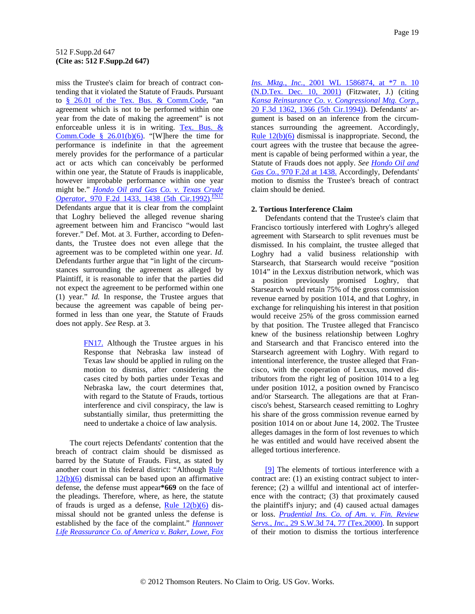<span id="page-18-0"></span>miss the Trustee's claim for breach of contract contending that it violated the Statute of Frauds. Pursuant to [§ 26.01 of the Tex. Bus. & Comm.Code](http://www.westlaw.com/Find/Default.wl?rs=dfa1.0&vr=2.0&DB=1000168&DocName=TXBCS26.01&FindType=L), "an agreement which is not to be performed within one year from the date of making the agreement" is not enforceable unless it is in writing. [Tex. Bus. &](http://www.westlaw.com/Find/Default.wl?rs=dfa1.0&vr=2.0&DB=1000168&DocName=TXBCS26.01&FindType=L&ReferencePositionType=T&ReferencePosition=SP_61d20000b6d76)  Comm.Code  $§$  26.01(b)(6). "[W]here the time for performance is indefinite in that the agreement merely provides for the performance of a particular act or acts which can conceivably be performed within one year, the Statute of Frauds is inapplicable, however improbable performance within one year might be." *[Hondo Oil and Gas Co. v. Texas Crude](http://www.westlaw.com/Find/Default.wl?rs=dfa1.0&vr=2.0&DB=350&FindType=Y&ReferencePositionType=S&SerialNum=1992147899&ReferencePosition=1438)  [Operator,](http://www.westlaw.com/Find/Default.wl?rs=dfa1.0&vr=2.0&DB=350&FindType=Y&ReferencePositionType=S&SerialNum=1992147899&ReferencePosition=1438)* [970 F.2d 1433, 1438 \(5th Cir.1992\).](http://www.westlaw.com/Find/Default.wl?rs=dfa1.0&vr=2.0&DB=350&FindType=Y&ReferencePositionType=S&SerialNum=1992147899&ReferencePosition=1438) [FN17](#page-18-0) Defendants argue that it is clear from the complaint that Loghry believed the alleged revenue sharing agreement between him and Francisco "would last forever." Def. Mot. at 3. Further, according to Defendants, the Trustee does not even allege that the agreement was to be completed within one year. *Id.* Defendants further argue that "in light of the circumstances surrounding the agreement as alleged by Plaintiff, it is reasonable to infer that the parties did not expect the agreement to be performed within one (1) year." *Id.* In response, the Trustee argues that because the agreement was capable of being performed in less than one year, the Statute of Frauds does not apply. *See* Resp. at 3.

> [FN17.](#page-18-0) Although the Trustee argues in his Response that Nebraska law instead of Texas law should be applied in ruling on the motion to dismiss, after considering the cases cited by both parties under Texas and Nebraska law, the court determines that, with regard to the Statute of Frauds, tortious interference and civil conspiracy, the law is substantially similar, thus pretermitting the need to undertake a choice of law analysis.

The court rejects Defendants' contention that the breach of contract claim should be dismissed as barred by the Statute of Frauds. First, as stated by another court in this federal district: "Although [Rule](http://www.westlaw.com/Find/Default.wl?rs=dfa1.0&vr=2.0&DB=1004365&DocName=USFRCPR12&FindType=L)   $12(b)(6)$  dismissal can be based upon an affirmative defense, the defense must appear**\*669** on the face of the pleadings. Therefore, where, as here, the statute of frauds is urged as a defense, Rule  $12(b)(6)$  dismissal should not be granted unless the defense is established by the face of the complaint." *[Hannover](http://www.westlaw.com/Find/Default.wl?rs=dfa1.0&vr=2.0&DB=0000999&FindType=Y&SerialNum=2001546191)  [Life Reassurance Co. of America v. Baker, Lowe, Fox](http://www.westlaw.com/Find/Default.wl?rs=dfa1.0&vr=2.0&DB=0000999&FindType=Y&SerialNum=2001546191)* 

*[Ins. Mktg., Inc.,](http://www.westlaw.com/Find/Default.wl?rs=dfa1.0&vr=2.0&DB=0000999&FindType=Y&SerialNum=2001546191)* [2001 WL 1586874, at \\*7 n. 10](http://www.westlaw.com/Find/Default.wl?rs=dfa1.0&vr=2.0&DB=0000999&FindType=Y&SerialNum=2001546191)  [\(N.D.Tex. Dec. 10, 2001\)](http://www.westlaw.com/Find/Default.wl?rs=dfa1.0&vr=2.0&DB=0000999&FindType=Y&SerialNum=2001546191) (Fitzwater, J.) (citin[g](http://www.westlaw.com/Find/Default.wl?rs=dfa1.0&vr=2.0&DB=506&FindType=Y&ReferencePositionType=S&SerialNum=1994104149&ReferencePosition=1366)  *[Kansa Reinsurance Co. v. Congressional Mtg. Corp.,](http://www.westlaw.com/Find/Default.wl?rs=dfa1.0&vr=2.0&DB=506&FindType=Y&ReferencePositionType=S&SerialNum=1994104149&ReferencePosition=1366)* [20 F.3d 1362, 1366 \(5th Cir.1994\)](http://www.westlaw.com/Find/Default.wl?rs=dfa1.0&vr=2.0&DB=506&FindType=Y&ReferencePositionType=S&SerialNum=1994104149&ReferencePosition=1366)). Defendants' argument is based on an inference from the circumstances surrounding the agreement. Accordingly, Rule  $12(b)(6)$  dismissal is inappropriate. Second, the court agrees with the trustee that because the agreement is capable of being performed within a year, the Statute of Frauds does not apply. *See [Hondo Oil and](http://www.westlaw.com/Find/Default.wl?rs=dfa1.0&vr=2.0&DB=350&FindType=Y&ReferencePositionType=S&SerialNum=1992147899&ReferencePosition=1438)  [Gas Co.,](http://www.westlaw.com/Find/Default.wl?rs=dfa1.0&vr=2.0&DB=350&FindType=Y&ReferencePositionType=S&SerialNum=1992147899&ReferencePosition=1438)* [970 F.2d at 1438.](http://www.westlaw.com/Find/Default.wl?rs=dfa1.0&vr=2.0&DB=350&FindType=Y&ReferencePositionType=S&SerialNum=1992147899&ReferencePosition=1438) Accordingly, Defendants' motion to dismiss the Trustee's breach of contract claim should be denied.

# **2. Tortious Interference Claim**

Defendants contend that the Trustee's claim that Francisco tortiously interfered with Loghry's alleged agreement with Starsearch to split revenues must be dismissed. In his complaint, the trustee alleged that Loghry had a valid business relationship with Starsearch, that Starsearch would receive "position 1014" in the Lexxus distribution network, which was a position previously promised Loghry, that Starsearch would retain 75% of the gross commission revenue earned by position 1014, and that Loghry, in exchange for relinquishing his interest in that position would receive 25% of the gross commission earned by that position. The Trustee alleged that Francisco knew of the business relationship between Loghry and Starsearch and that Francisco entered into the Starsearch agreement with Loghry. With regard to intentional interference, the trustee alleged that Francisco, with the cooperation of Lexxus, moved distributors from the right leg of position 1014 to a leg under position 1012, a position owned by Francisco and/or Starsearch. The allegations are that at Francisco's behest, Starsearch ceased remitting to Loghry his share of the gross commission revenue earned by position 1014 on or about June 14, 2002. The Trustee alleges damages in the form of lost revenues to which he was entitled and would have received absent the alleged tortious interference.

[\[9\]](#page-2-0) The elements of tortious interference with a contract are: (1) an existing contract subject to interference; (2) a willful and intentional act of interference with the contract; (3) that proximately caused the plaintiff's injury; and (4) caused actual damages or loss. *[Prudential Ins. Co. of Am. v. Fin. Review](http://www.westlaw.com/Find/Default.wl?rs=dfa1.0&vr=2.0&DB=4644&FindType=Y&ReferencePositionType=S&SerialNum=2000389915&ReferencePosition=77)  [Servs., Inc.,](http://www.westlaw.com/Find/Default.wl?rs=dfa1.0&vr=2.0&DB=4644&FindType=Y&ReferencePositionType=S&SerialNum=2000389915&ReferencePosition=77)* [29 S.W.3d 74, 77 \(Tex.2000\)](http://www.westlaw.com/Find/Default.wl?rs=dfa1.0&vr=2.0&DB=4644&FindType=Y&ReferencePositionType=S&SerialNum=2000389915&ReferencePosition=77). In support of their motion to dismiss the tortious interference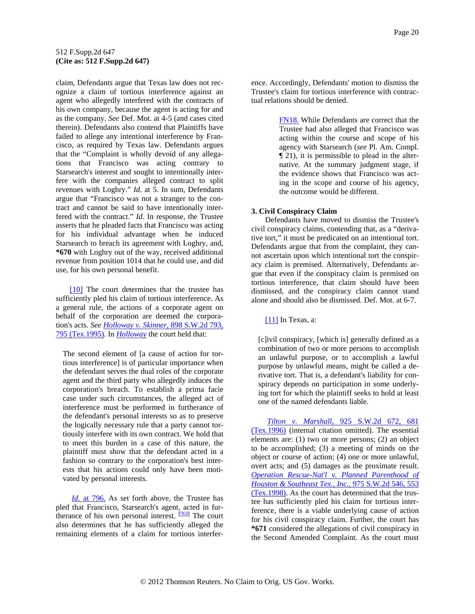<span id="page-19-0"></span>claim, Defendants argue that Texas law does not recognize a claim of tortious interference against an agent who allegedly interfered with the contracts of his own company, because the agent is acting for and as the company. *See* Def. Mot. at 4-5 (and cases cited therein). Defendants also contend that Plaintiffs have failed to allege any intentional interference by Francisco, as required by Texas law. Defendants argues that the "Complaint is wholly devoid of any allegations that Francisco was acting contrary to Starsearch's interest and sought to intentionally interfere with the companies alleged contract to split revenues with Loghry." *Id.* at 5. In sum, Defendants argue that "Francisco was not a stranger to the contract and cannot be said to have intentionally interfered with the contract." *Id.* In response, the Trustee asserts that he pleaded facts that Francisco was acting for his individual advantage when he induced Starsearch to breach its agreement with Loghry, and, **\*670** with Loghry out of the way, received additional revenue from position 1014 that he could use, and did use, for his own personal benefit.

[\[10\]](#page-2-0) The court determines that the trustee has sufficiently pled his claim of tortious interference. As a general rule, the actions of a corporate agent on behalf of the corporation are deemed the corporation's acts. *See [Holloway v. Skinner,](http://www.westlaw.com/Find/Default.wl?rs=dfa1.0&vr=2.0&DB=713&FindType=Y&ReferencePositionType=S&SerialNum=1995107685&ReferencePosition=795)* [898 S.W.2d 793,](http://www.westlaw.com/Find/Default.wl?rs=dfa1.0&vr=2.0&DB=713&FindType=Y&ReferencePositionType=S&SerialNum=1995107685&ReferencePosition=795)  [795 \(Tex.1995\)](http://www.westlaw.com/Find/Default.wl?rs=dfa1.0&vr=2.0&DB=713&FindType=Y&ReferencePositionType=S&SerialNum=1995107685&ReferencePosition=795). In *[Holloway](http://www.westlaw.com/Find/Default.wl?rs=dfa1.0&vr=2.0&FindType=Y&SerialNum=1995107685)* the court held that:

The second element of [a cause of action for tortious interference] is of particular importance when the defendant serves the dual roles of the corporate agent and the third party who allegedly induces the corporation's breach. To establish a prima facie case under such circumstances, the alleged act of interference must be performed in furtherance of the defendant's personal interests so as to preserve the logically necessary rule that a party cannot tortiously interfere with its own contract. We hold that to meet this burden in a case of this nature, the plaintiff must show that the defendant acted in a fashion so contrary to the corporation's best interests that his actions could only have been motivated by personal interests.

*[Id.](http://www.westlaw.com/Find/Default.wl?rs=dfa1.0&vr=2.0&FindType=Y&SerialNum=1995107685)* [at 796.](http://www.westlaw.com/Find/Default.wl?rs=dfa1.0&vr=2.0&FindType=Y&SerialNum=1995107685) As set forth above, the Trustee has pled that Francisco, Starsearch's agent, acted in furtherance of his own personal interest.  $F<sub>N18</sub>$  The court also determines that he has sufficiently alleged the remaining elements of a claim for tortious interference. Accordingly, Defendants' motion to dismiss the Trustee's claim for tortious interference with contractual relations should be denied.

> [FN18.](#page-19-0) While Defendants are correct that the Trustee had also alleged that Francisco was acting within the course and scope of his agency with Starsearch (*see* Pl. Am. Compl. ¶ 21), it is permissible to plead in the alternative. At the summary judgment stage, if the evidence shows that Francisco was acting in the scope and course of his agency, the outcome would be different.

# **3. Civil Conspiracy Claim**

Defendants have moved to dismiss the Trustee's civil conspiracy claims, contending that, as a "derivative tort," it must be predicated on an intentional tort. Defendants argue that from the complaint, they cannot ascertain upon which intentional tort the conspiracy claim is premised. Alternatively, Defendants argue that even if the conspiracy claim is premised on tortious interference, that claim should have been dismissed, and the conspiracy claim cannot stand alone and should also be dismissed. Def. Mot. at 6-7.

[\[11\]](#page-2-0) In Texas, a:

[c]ivil conspiracy, [which is] generally defined as a combination of two or more persons to accomplish an unlawful purpose, or to accomplish a lawful purpose by unlawful means, might be called a derivative tort. That is, a defendant's liability for conspiracy depends on participation in some underlying tort for which the plaintiff seeks to hold at least one of the named defendants liable.

*[Tilton v. Marshall,](http://www.westlaw.com/Find/Default.wl?rs=dfa1.0&vr=2.0&DB=713&FindType=Y&ReferencePositionType=S&SerialNum=1996158954&ReferencePosition=681)* [925 S.W.2d 672, 681](http://www.westlaw.com/Find/Default.wl?rs=dfa1.0&vr=2.0&DB=713&FindType=Y&ReferencePositionType=S&SerialNum=1996158954&ReferencePosition=681)  [\(Tex.1996\)](http://www.westlaw.com/Find/Default.wl?rs=dfa1.0&vr=2.0&DB=713&FindType=Y&ReferencePositionType=S&SerialNum=1996158954&ReferencePosition=681) (internal citation omitted). The essential elements are: (1) two or more persons; (2) an object to be accomplished; (3) a meeting of minds on the object or course of action; (4) one or more unlawful, overt acts; and (5) damages as the proximate result. *[Operation Rescue-Nat'l v. Planned Parenthood of](http://www.westlaw.com/Find/Default.wl?rs=dfa1.0&vr=2.0&DB=713&FindType=Y&ReferencePositionType=S&SerialNum=1998138424&ReferencePosition=553)  [Houston & Southeast Tex., Inc.,](http://www.westlaw.com/Find/Default.wl?rs=dfa1.0&vr=2.0&DB=713&FindType=Y&ReferencePositionType=S&SerialNum=1998138424&ReferencePosition=553)* [975 S.W.2d 546, 553](http://www.westlaw.com/Find/Default.wl?rs=dfa1.0&vr=2.0&DB=713&FindType=Y&ReferencePositionType=S&SerialNum=1998138424&ReferencePosition=553)  [\(Tex.1998\).](http://www.westlaw.com/Find/Default.wl?rs=dfa1.0&vr=2.0&DB=713&FindType=Y&ReferencePositionType=S&SerialNum=1998138424&ReferencePosition=553) As the court has determined that the trustee has sufficiently pled his claim for tortious interference, there is a viable underlying cause of action for his civil conspiracy claim. Further, the court has **\*671** considered the allegations of civil conspiracy in the Second Amended Complaint. As the court must